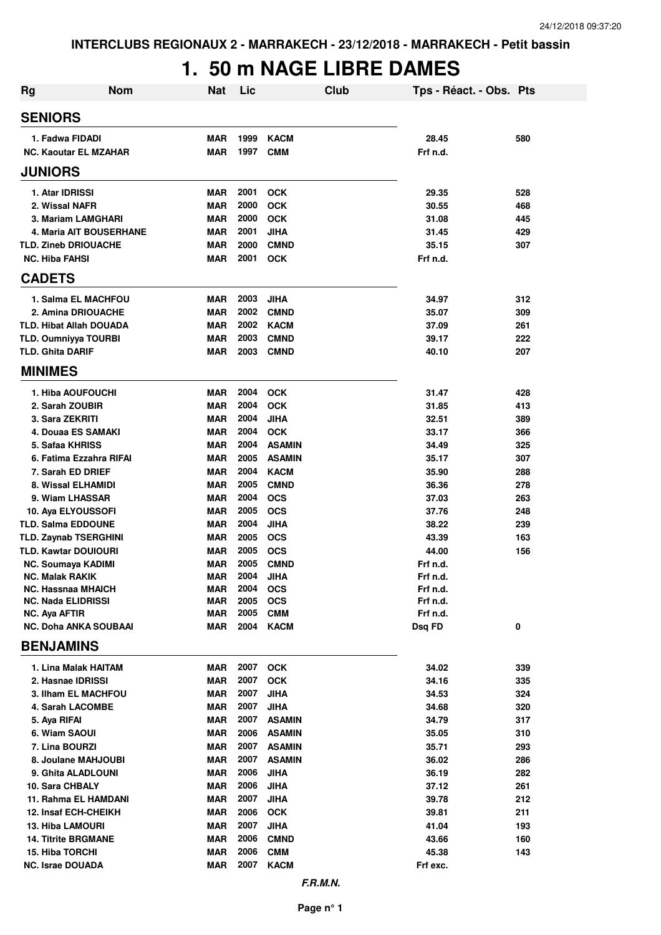# **1. 50 m NAGE LIBRE DAMES**

| Rg                                                   | <b>Nom</b>                     | <b>Nat</b>               | Lic          | <b>Club</b>               | Tps - Réact. - Obs. Pts |            |
|------------------------------------------------------|--------------------------------|--------------------------|--------------|---------------------------|-------------------------|------------|
| <b>SENIORS</b>                                       |                                |                          |              |                           |                         |            |
| 1. Fadwa FIDADI                                      |                                | <b>MAR</b>               | 1999         | <b>KACM</b>               | 28.45                   | 580        |
| <b>NC. Kaoutar EL MZAHAR</b>                         |                                | <b>MAR</b>               | 1997         | <b>CMM</b>                | Frf n.d.                |            |
| <b>JUNIORS</b>                                       |                                |                          |              |                           |                         |            |
| 1. Atar IDRISSI                                      |                                | <b>MAR</b>               | 2001         | <b>OCK</b>                | 29.35                   | 528        |
| 2. Wissal NAFR                                       |                                | <b>MAR</b>               | 2000         | <b>OCK</b>                | 30.55                   | 468        |
| 3. Mariam LAMGHARI                                   |                                | <b>MAR</b>               | 2000         | <b>OCK</b>                | 31.08                   | 445        |
|                                                      | <b>4. Maria AIT BOUSERHANE</b> | <b>MAR</b>               | 2001         | <b>JIHA</b>               | 31.45                   | 429        |
| <b>TLD. Zineb DRIOUACHE</b>                          |                                | <b>MAR</b>               | 2000         | <b>CMND</b>               | 35.15                   | 307        |
| <b>NC. Hiba FAHSI</b>                                |                                | <b>MAR</b>               | 2001         | <b>OCK</b>                | Frf n.d.                |            |
| <b>CADETS</b>                                        |                                |                          |              |                           |                         |            |
| 1. Salma EL MACHFOU                                  |                                | <b>MAR</b>               | 2003         | <b>JIHA</b>               | 34.97                   | 312        |
| 2. Amina DRIOUACHE                                   |                                | <b>MAR</b>               | 2002         | <b>CMND</b>               | 35.07                   | 309        |
| <b>TLD. Hibat Allah DOUADA</b>                       |                                | <b>MAR</b>               | 2002         | <b>KACM</b>               | 37.09                   | 261        |
| <b>TLD. Oumniyya TOURBI</b>                          |                                | <b>MAR</b>               | 2003         | <b>CMND</b>               | 39.17                   | 222        |
| <b>TLD. Ghita DARIF</b>                              |                                | <b>MAR</b>               | 2003         | <b>CMND</b>               | 40.10                   | 207        |
| <b>MINIMES</b>                                       |                                |                          |              |                           |                         |            |
| 1. Hiba AOUFOUCHI                                    |                                | <b>MAR</b>               | 2004         | <b>OCK</b>                | 31.47                   | 428        |
| 2. Sarah ZOUBIR                                      |                                | <b>MAR</b>               | 2004<br>2004 | <b>OCK</b>                | 31.85                   | 413        |
| 3. Sara ZEKRITI<br>4. Douaa ES SAMAKI                |                                | <b>MAR</b><br><b>MAR</b> | 2004         | <b>JIHA</b><br><b>OCK</b> | 32.51<br>33.17          | 389<br>366 |
| 5. Safaa KHRISS                                      |                                | <b>MAR</b>               | 2004         | <b>ASAMIN</b>             | 34.49                   | 325        |
| 6. Fatima Ezzahra RIFAI                              |                                | <b>MAR</b>               | 2005         | <b>ASAMIN</b>             | 35.17                   | 307        |
| 7. Sarah ED DRIEF                                    |                                | <b>MAR</b>               | 2004         | <b>KACM</b>               | 35.90                   | 288        |
| 8. Wissal ELHAMIDI                                   |                                | <b>MAR</b>               | 2005         | <b>CMND</b>               | 36.36                   | 278        |
| 9. Wiam LHASSAR                                      |                                | <b>MAR</b>               | 2004         | <b>OCS</b>                | 37.03                   | 263        |
| 10. Aya ELYOUSSOFI                                   |                                | <b>MAR</b>               | 2005         | <b>OCS</b>                | 37.76                   | 248        |
| <b>TLD. Salma EDDOUNE</b>                            |                                | <b>MAR</b>               | 2004         | <b>JIHA</b>               | 38.22                   | 239        |
| <b>TLD. Zaynab TSERGHINI</b>                         |                                | <b>MAR</b>               | 2005         | <b>OCS</b>                | 43.39                   | 163        |
| <b>TLD. Kawtar DOUIOURI</b>                          |                                | <b>MAR</b>               | 2005         | <b>OCS</b>                | 44.00                   | 156        |
| NC. Soumaya KADIMI                                   |                                | <b>MAR</b>               | 2005         | <b>CMND</b>               | Frf n.d.                |            |
| <b>NC. Malak RAKIK</b>                               |                                | <b>MAR</b>               | 2004         | JIHA                      | Frf n.d.                |            |
| <b>NC. Hassnaa MHAICH</b>                            |                                | <b>MAR</b>               | 2004         | <b>OCS</b>                | Frf n.d.                |            |
| <b>NC. Nada ELIDRISSI</b>                            |                                | <b>MAR</b><br><b>MAR</b> | 2005<br>2005 | <b>OCS</b><br><b>CMM</b>  | Frf n.d.<br>Frf n.d.    |            |
| NC. Aya AFTIR<br><b>NC. Doha ANKA SOUBAAI</b>        |                                | MAR                      | 2004         | <b>KACM</b>               | Dsq FD                  | 0          |
| <b>BENJAMINS</b>                                     |                                |                          |              |                           |                         |            |
| 1. Lina Malak HAITAM                                 |                                | <b>MAR</b>               | 2007         | <b>OCK</b>                | 34.02                   | 339        |
| 2. Hasnae IDRISSI                                    |                                | <b>MAR</b>               | 2007         | <b>OCK</b>                | 34.16                   | 335        |
| <b>3. Ilham EL MACHFOU</b>                           |                                | <b>MAR</b>               | 2007         | <b>JIHA</b>               | 34.53                   | 324        |
| 4. Sarah LACOMBE                                     |                                | <b>MAR</b>               | 2007         | <b>JIHA</b>               | 34.68                   | 320        |
| 5. Aya RIFAI                                         |                                | <b>MAR</b>               | 2007         | <b>ASAMIN</b>             | 34.79                   | 317        |
| 6. Wiam SAOUI                                        |                                | <b>MAR</b>               | 2006         | <b>ASAMIN</b>             | 35.05                   | 310        |
| 7. Lina BOURZI                                       |                                | <b>MAR</b>               | 2007         | <b>ASAMIN</b>             | 35.71                   | 293        |
| 8. Joulane MAHJOUBI                                  |                                | <b>MAR</b>               | 2007         | <b>ASAMIN</b>             | 36.02                   | 286        |
| 9. Ghita ALADLOUNI                                   |                                | <b>MAR</b>               | 2006         | <b>JIHA</b>               | 36.19                   | 282        |
| 10. Sara CHBALY                                      |                                | <b>MAR</b>               | 2006         | <b>JIHA</b>               | 37.12                   | 261        |
| 11. Rahma EL HAMDANI                                 |                                | <b>MAR</b>               | 2007         | <b>JIHA</b>               | 39.78                   | 212        |
| <b>12. Insaf ECH-CHEIKH</b>                          |                                | <b>MAR</b>               | 2006         | <b>OCK</b>                | 39.81                   | 211        |
| <b>13. Hiba LAMOURI</b>                              |                                | <b>MAR</b>               | 2007         | <b>JIHA</b>               | 41.04                   | 193        |
| <b>14. Titrite BRGMANE</b><br><b>15. Hiba TORCHI</b> |                                | <b>MAR</b><br><b>MAR</b> | 2006<br>2006 | <b>CMND</b><br><b>CMM</b> | 43.66<br>45.38          | 160<br>143 |
| NC. Israe DOUADA                                     |                                | <b>MAR</b>               | 2007         | <b>KACM</b>               | Frf exc.                |            |
|                                                      |                                |                          |              |                           |                         |            |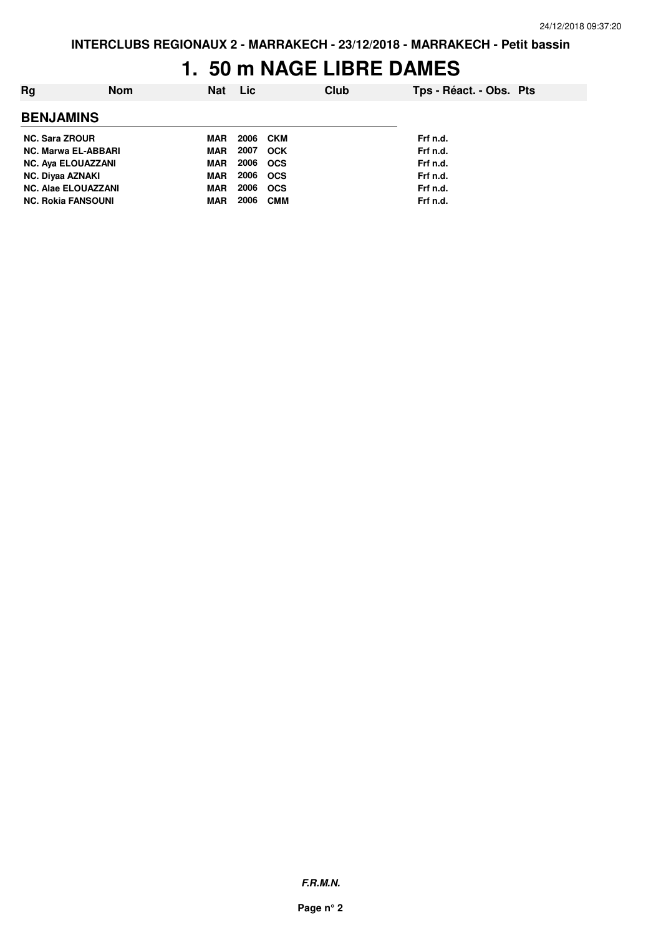### **1. 50 m NAGE LIBRE DAMES**

| Rg                         | <b>Nom</b> | Nat | Lic. |            | Club | Tps - Réact. - Obs. Pts |  |
|----------------------------|------------|-----|------|------------|------|-------------------------|--|
| <b>BENJAMINS</b>           |            |     |      |            |      |                         |  |
| <b>NC. Sara ZROUR</b>      |            | MAR | 2006 | CKM        |      | Frf n.d.                |  |
| <b>NC. Marwa EL-ABBARI</b> |            | MAR | 2007 | <b>OCK</b> |      | Frf n.d.                |  |
| <b>NC. Aya ELOUAZZANI</b>  |            | MAR | 2006 | <b>OCS</b> |      | Frf n.d.                |  |
| <b>NC. Diyaa AZNAKI</b>    |            | MAR | 2006 | <b>OCS</b> |      | Frf n.d.                |  |
| <b>NC. Alae ELOUAZZANI</b> |            | MAR | 2006 | <b>OCS</b> |      | Frf n.d.                |  |
| <b>NC. Rokia FANSOUNI</b>  |            | MAR | 2006 | <b>CMM</b> |      | Frf n.d.                |  |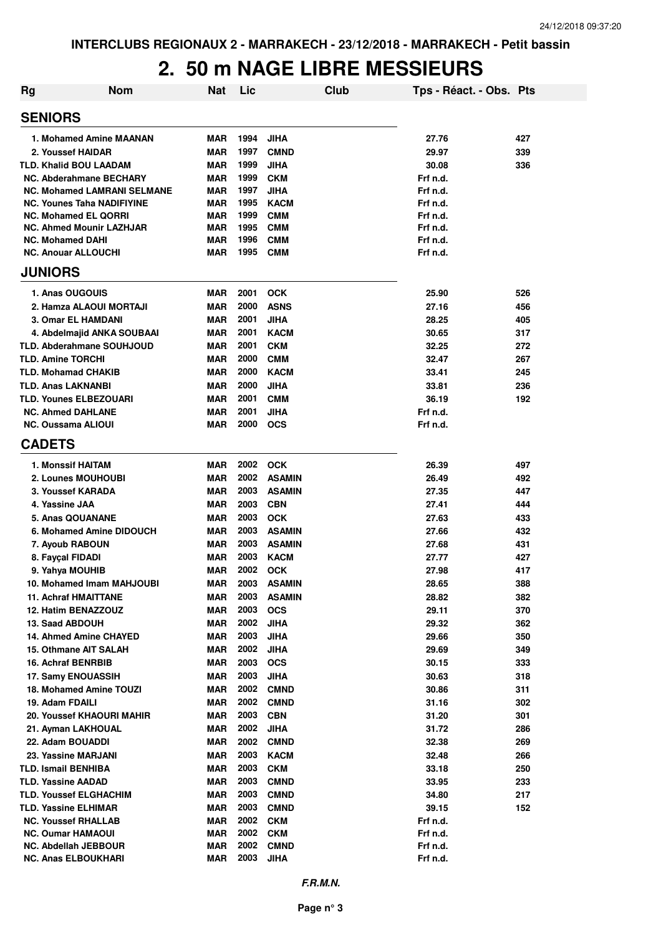#### **2. 50 m NAGE LIBRE MESSIEURS**

| <b>Rg</b> | <b>Nom</b>                                 | <b>Nat</b>               | Lic          | Club                           | Tps - Réact. - Obs. Pts |            |
|-----------|--------------------------------------------|--------------------------|--------------|--------------------------------|-------------------------|------------|
|           | <b>SENIORS</b>                             |                          |              |                                |                         |            |
|           | 1. Mohamed Amine MAANAN                    | <b>MAR</b>               | 1994         | <b>JIHA</b>                    | 27.76                   | 427        |
|           | 2. Youssef HAIDAR                          | <b>MAR</b>               | 1997         | <b>CMND</b>                    | 29.97                   | 339        |
|           | <b>TLD. Khalid BOU LAADAM</b>              | <b>MAR</b>               | 1999         | <b>JIHA</b>                    | 30.08                   | 336        |
|           | <b>NC. Abderahmane BECHARY</b>             | <b>MAR</b>               | 1999         | <b>CKM</b>                     | Frf n.d.                |            |
|           | NC. Mohamed LAMRANI SELMANE                | <b>MAR</b>               | 1997         | <b>JIHA</b>                    | Frf n.d.                |            |
|           | NC. Younes Taha NADIFIYINE                 | <b>MAR</b>               | 1995         | <b>KACM</b>                    | Frf n.d.                |            |
|           | <b>NC. Mohamed EL QORRI</b>                | <b>MAR</b>               | 1999         | <b>CMM</b>                     | Frf n.d.                |            |
|           | <b>NC. Ahmed Mounir LAZHJAR</b>            | MAR                      | 1995         | <b>CMM</b>                     | Frf n.d.                |            |
|           | <b>NC. Mohamed DAHI</b>                    | MAR                      | 1996         | <b>CMM</b>                     | Frf n.d.                |            |
|           | <b>NC. Anouar ALLOUCHI</b>                 | <b>MAR</b>               | 1995         | <b>CMM</b>                     | Frf n.d.                |            |
|           | <b>JUNIORS</b>                             |                          |              |                                |                         |            |
|           | 1. Anas OUGOUIS                            | <b>MAR</b>               | 2001         | <b>OCK</b>                     | 25.90                   | 526        |
|           | 2. Hamza ALAOUI MORTAJI                    | <b>MAR</b>               | 2000         | <b>ASNS</b>                    | 27.16                   | 456        |
|           | <b>3. Omar EL HAMDANI</b>                  | <b>MAR</b>               | 2001         | <b>JIHA</b>                    | 28.25                   | 405        |
|           | 4. Abdelmajid ANKA SOUBAAI                 | <b>MAR</b>               | 2001         | <b>KACM</b>                    | 30.65                   | 317        |
|           | <b>TLD. Abderahmane SOUHJOUD</b>           | <b>MAR</b>               | 2001         | <b>CKM</b>                     | 32.25                   | 272        |
|           | <b>TLD. Amine TORCHI</b>                   | <b>MAR</b>               | 2000         | <b>CMM</b>                     | 32.47                   | 267        |
|           | <b>TLD. Mohamad CHAKIB</b>                 | <b>MAR</b>               | 2000         | <b>KACM</b>                    | 33.41                   | 245        |
|           | <b>TLD. Anas LAKNANBI</b>                  | <b>MAR</b>               | 2000         | <b>JIHA</b>                    | 33.81                   | 236        |
|           | <b>TLD. Younes ELBEZOUARI</b>              | <b>MAR</b>               | 2001         | <b>CMM</b>                     | 36.19                   | 192        |
|           | <b>NC. Ahmed DAHLANE</b>                   | <b>MAR</b>               | 2001         | <b>JIHA</b>                    | Frf n.d.                |            |
|           | <b>NC. Oussama ALIOUI</b><br><b>CADETS</b> | <b>MAR</b>               | 2000         | <b>OCS</b>                     | Frf n.d.                |            |
|           |                                            |                          |              |                                |                         |            |
|           | <b>1. Monssif HAITAM</b>                   | <b>MAR</b>               | 2002         | <b>OCK</b>                     | 26.39                   | 497        |
|           | 2. Lounes MOUHOUBI                         | <b>MAR</b>               | 2002<br>2003 | <b>ASAMIN</b><br><b>ASAMIN</b> | 26.49                   | 492        |
|           | 3. Youssef KARADA<br>4. Yassine JAA        | <b>MAR</b><br><b>MAR</b> | 2003         | <b>CBN</b>                     | 27.35<br>27.41          | 447<br>444 |
|           | 5. Anas QOUANANE                           | <b>MAR</b>               | 2003         | <b>OCK</b>                     | 27.63                   | 433        |
|           | 6. Mohamed Amine DIDOUCH                   | <b>MAR</b>               | 2003         | <b>ASAMIN</b>                  | 27.66                   | 432        |
|           | 7. Ayoub RABOUN                            | <b>MAR</b>               | 2003         | <b>ASAMIN</b>                  | 27.68                   | 431        |
|           | 8. Fayçal FIDADI                           | MAR                      | 2003         | <b>KACM</b>                    | 27.77                   | 427        |
|           | 9. Yahya MOUHIB                            | <b>MAR</b>               | 2002         | <b>OCK</b>                     | 27.98                   | 417        |
|           | 10. Mohamed Imam MAHJOUBI                  | <b>MAR</b>               | 2003         | <b>ASAMIN</b>                  | 28.65                   | 388        |
|           | <b>11. Achraf HMAITTANE</b>                | <b>MAR</b>               | 2003         | <b>ASAMIN</b>                  | 28.82                   | 382        |
|           | 12. Hatim BENAZZOUZ                        | <b>MAR</b>               | 2003         | <b>OCS</b>                     | 29.11                   | 370        |
|           | 13. Saad ABDOUH                            | <b>MAR</b>               | 2002         | <b>JIHA</b>                    | 29.32                   | 362        |
|           | 14. Ahmed Amine CHAYED                     | <b>MAR</b>               | 2003         | <b>JIHA</b>                    | 29.66                   | 350        |
|           | 15. Othmane AIT SALAH                      | <b>MAR</b>               | 2002         | <b>JIHA</b>                    | 29.69                   | 349        |
|           | 16. Achraf BENRBIB                         | <b>MAR</b>               | 2003         | <b>OCS</b>                     | 30.15                   | 333        |
|           | <b>17. Samy ENOUASSIH</b>                  | <b>MAR</b>               | 2003         | <b>JIHA</b>                    | 30.63                   | 318        |
|           | 18. Mohamed Amine TOUZI                    | <b>MAR</b>               | 2002         | <b>CMND</b>                    | 30.86                   | 311        |
|           | 19. Adam FDAILI                            | <b>MAR</b>               | 2002         | <b>CMND</b>                    | 31.16                   | 302        |
|           | 20. Youssef KHAOURI MAHIR                  | <b>MAR</b>               | 2003         | <b>CBN</b>                     | 31.20                   | 301        |
|           | 21. Ayman LAKHOUAL                         | <b>MAR</b>               | 2002         | <b>JIHA</b>                    | 31.72                   | 286        |
|           | 22. Adam BOUADDI                           | <b>MAR</b>               | 2002         | <b>CMND</b>                    | 32.38                   | 269        |
|           | 23. Yassine MARJANI                        | <b>MAR</b>               | 2003         | <b>KACM</b>                    | 32.48                   | 266        |
|           | <b>TLD. Ismail BENHIBA</b>                 | <b>MAR</b>               | 2003         | <b>CKM</b>                     | 33.18                   | 250        |
|           | <b>TLD. Yassine AADAD</b>                  | <b>MAR</b>               | 2003         | <b>CMND</b>                    | 33.95                   | 233        |
|           | <b>TLD. Youssef ELGHACHIM</b>              | <b>MAR</b>               | 2003         | <b>CMND</b>                    | 34.80                   | 217        |
|           | <b>TLD. Yassine ELHIMAR</b>                | <b>MAR</b>               | 2003         | <b>CMND</b>                    | 39.15                   | 152        |
|           | <b>NC. Youssef RHALLAB</b>                 | <b>MAR</b>               | 2002         | <b>CKM</b>                     | Frf n.d.                |            |
|           | <b>NC. Oumar HAMAOUI</b>                   | MAR                      | 2002         | <b>CKM</b>                     | Frf n.d.                |            |
|           | <b>NC. Abdellah JEBBOUR</b>                | MAR                      | 2002         | <b>CMND</b>                    | Frf n.d.                |            |
|           | <b>NC. Anas ELBOUKHARI</b>                 | <b>MAR</b>               | 2003         | <b>JIHA</b>                    | Frf n.d.                |            |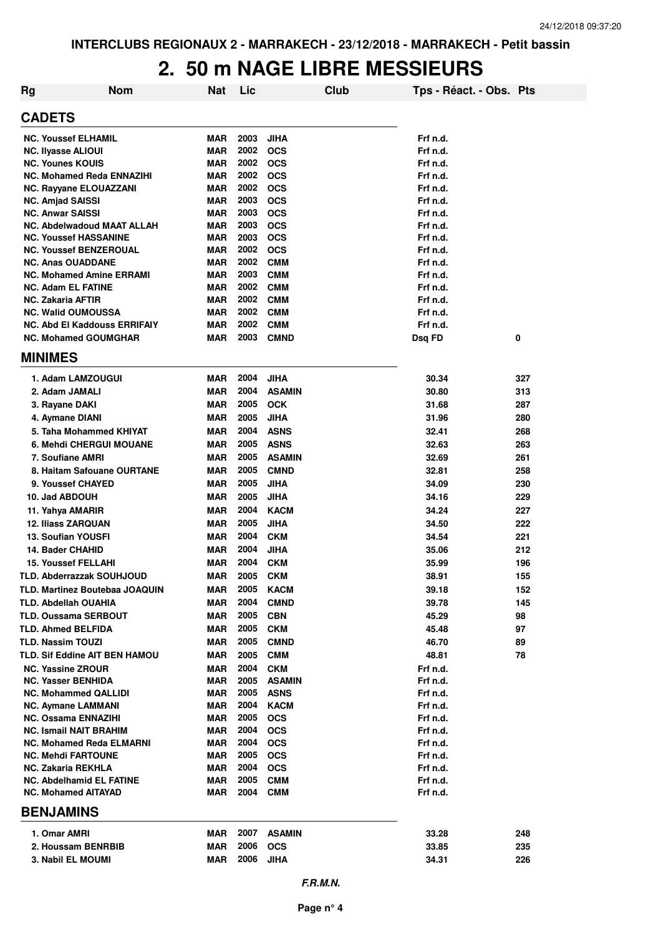#### **2. 50 m NAGE LIBRE MESSIEURS**

| <b>Rg</b>      | <b>Nom</b>                                                    | <b>Nat</b> | Lic          |                          | Club | Tps - Réact. - Obs. Pts |            |
|----------------|---------------------------------------------------------------|------------|--------------|--------------------------|------|-------------------------|------------|
| <b>CADETS</b>  |                                                               |            |              |                          |      |                         |            |
|                | <b>NC. Youssef ELHAMIL</b>                                    | MAR        | 2003         | <b>JIHA</b>              |      | Frf n.d.                |            |
|                | <b>NC. Ilyasse ALIOUI</b>                                     | MAR        | 2002         | <b>OCS</b>               |      | Frf n.d.                |            |
|                | <b>NC. Younes KOUIS</b>                                       | <b>MAR</b> | 2002         | <b>OCS</b>               |      | Frf n.d.                |            |
|                | <b>NC. Mohamed Reda ENNAZIHI</b>                              | MAR        | 2002         | <b>OCS</b>               |      | Frf n.d.                |            |
|                | NC. Rayyane ELOUAZZANI                                        | MAR        | 2002         | <b>OCS</b>               |      | Frf n.d.                |            |
|                | <b>NC. Amjad SAISSI</b>                                       | MAR        | 2003         | <b>OCS</b>               |      | Frf n.d.                |            |
|                | <b>NC. Anwar SAISSI</b>                                       | MAR        | 2003         | <b>OCS</b>               |      | Frf n.d.                |            |
|                | <b>NC. Abdelwadoud MAAT ALLAH</b>                             | <b>MAR</b> | 2003         | <b>OCS</b>               |      | Frf n.d.                |            |
|                | <b>NC. Youssef HASSANINE</b>                                  | MAR        | 2003         | <b>OCS</b>               |      | Frf n.d.                |            |
|                | <b>NC. Youssef BENZEROUAL</b>                                 | <b>MAR</b> | 2002         | <b>OCS</b>               |      | Frf n.d.                |            |
|                | <b>NC. Anas OUADDANE</b>                                      | <b>MAR</b> | 2002         | <b>CMM</b>               |      | Frf n.d.                |            |
|                | <b>NC. Mohamed Amine ERRAMI</b>                               | <b>MAR</b> | 2003<br>2002 | <b>CMM</b>               |      | Frf n.d.                |            |
|                | <b>NC. Adam EL FATINE</b><br><b>NC. Zakaria AFTIR</b>         | MAR<br>MAR | 2002         | <b>CMM</b><br><b>CMM</b> |      | Frf n.d.<br>Frf n.d.    |            |
|                | <b>NC. Walid OUMOUSSA</b>                                     | MAR        | 2002         | <b>CMM</b>               |      | Frf n.d.                |            |
|                | <b>NC. Abd El Kaddouss ERRIFAIY</b>                           | MAR        | 2002         | <b>CMM</b>               |      | Frf n.d.                |            |
|                | <b>NC. Mohamed GOUMGHAR</b>                                   | MAR        | 2003         | <b>CMND</b>              |      | Dsq FD                  | 0          |
| <b>MINIMES</b> |                                                               |            |              |                          |      |                         |            |
|                | 1. Adam LAMZOUGUI                                             | MAR        | 2004         | <b>JIHA</b>              |      | 30.34                   | 327        |
|                | 2. Adam JAMALI                                                | <b>MAR</b> | 2004         | <b>ASAMIN</b>            |      | 30.80                   | 313        |
|                | 3. Rayane DAKI                                                | MAR        | 2005         | <b>OCK</b>               |      | 31.68                   | 287        |
|                | 4. Aymane DIANI                                               | MAR        | 2005         | <b>JIHA</b>              |      | 31.96                   | 280        |
|                | 5. Taha Mohammed KHIYAT                                       | MAR        | 2004         | <b>ASNS</b>              |      | 32.41                   | 268        |
|                | <b>6. Mehdi CHERGUI MOUANE</b>                                | MAR        | 2005         | <b>ASNS</b>              |      | 32.63                   | 263        |
|                | 7. Soufiane AMRI                                              | MAR        | 2005         | <b>ASAMIN</b>            |      | 32.69                   | 261        |
|                | 8. Haitam Safouane OURTANE                                    | MAR        | 2005         | <b>CMND</b>              |      | 32.81                   | 258        |
|                | 9. Youssef CHAYED                                             | MAR        | 2005         | <b>JIHA</b>              |      | 34.09                   | 230        |
|                | 10. Jad ABDOUH                                                | MAR        | 2005         | <b>JIHA</b>              |      | 34.16                   | 229        |
|                | 11. Yahya AMARIR                                              | MAR        | 2004         | <b>KACM</b>              |      | 34.24                   | 227        |
|                | <b>12. Iliass ZARQUAN</b>                                     | <b>MAR</b> | 2005         | <b>JIHA</b>              |      | 34.50                   | 222        |
|                | <b>13. Soufian YOUSFI</b>                                     | <b>MAR</b> | 2004         | <b>CKM</b>               |      | 34.54                   | 221        |
|                | 14. Bader CHAHID                                              | <b>MAR</b> | 2004         | <b>JIHA</b>              |      | 35.06                   | 212        |
|                | <b>15. Youssef FELLAHI</b>                                    | MAR        | 2004         | <b>CKM</b>               |      | 35.99                   | 196        |
|                |                                                               | <b>MAR</b> | 2005         | <b>CKM</b>               |      | 38.91                   | 155        |
|                | TLD. Abderrazzak SOUHJOUD                                     | MAR        | 2005         | <b>KACM</b>              |      |                         |            |
|                | TLD. Martinez Boutebaa JOAQUIN<br><b>TLD. Abdellah OUAHIA</b> | MAR        | 2004         | <b>CMND</b>              |      | 39.18<br>39.78          | 152<br>145 |
|                | <b>TLD. Oussama SERBOUT</b>                                   | MAR        | 2005         | <b>CBN</b>               |      | 45.29                   | 98         |
|                | <b>TLD. Ahmed BELFIDA</b>                                     | MAR        | 2005         | <b>CKM</b>               |      | 45.48                   | 97         |
|                | <b>TLD. Nassim TOUZI</b>                                      | MAR        | 2005         | <b>CMND</b>              |      | 46.70                   | 89         |
|                | <b>TLD. Sif Eddine AIT BEN HAMOU</b>                          | MAR        | 2005         | <b>CMM</b>               |      | 48.81                   | 78         |
|                | <b>NC. Yassine ZROUR</b>                                      | MAR        | 2004         | <b>CKM</b>               |      | Frf n.d.                |            |
|                | <b>NC. Yasser BENHIDA</b>                                     | MAR        | 2005         | <b>ASAMIN</b>            |      | Frf n.d.                |            |
|                | <b>NC. Mohammed QALLIDI</b>                                   | MAR        | 2005         | <b>ASNS</b>              |      | Frf n.d.                |            |
|                | <b>NC. Aymane LAMMANI</b>                                     | MAR        | 2004         | <b>KACM</b>              |      | Frf n.d.                |            |
|                | <b>NC. Ossama ENNAZIHI</b>                                    | MAR        | 2005         | <b>OCS</b>               |      | Frf n.d.                |            |
|                | <b>NC. Ismail NAIT BRAHIM</b>                                 | MAR        | 2004         | <b>OCS</b>               |      | Frf n.d.                |            |
|                | <b>NC. Mohamed Reda ELMARNI</b>                               | MAR        | 2004         | <b>OCS</b>               |      | Frf n.d.                |            |
|                | <b>NC. Mehdi FARTOUNE</b>                                     | <b>MAR</b> | 2005         | <b>OCS</b>               |      | Frf n.d.                |            |
|                | NC. Zakaria REKHLA                                            | MAR        | 2004         | <b>OCS</b>               |      | Frf n.d.                |            |
|                | <b>NC. Abdelhamid EL FATINE</b>                               | MAR        | 2005         | <b>CMM</b>               |      | Frf n.d.                |            |
|                | <b>NC. Mohamed AITAYAD</b>                                    | MAR        | 2004         | <b>CMM</b>               |      | Frf n.d.                |            |
|                | <b>BENJAMINS</b>                                              |            |              |                          |      |                         |            |
|                | 1. Omar AMRI                                                  | MAR        | 2007         | <b>ASAMIN</b>            |      | 33.28                   | 248        |
|                | 2. Houssam BENRBIB                                            | MAR        | 2006         | <b>OCS</b>               |      | 33.85                   | 235        |
|                | 3. Nabil EL MOUMI                                             | MAR        | 2006         | <b>JIHA</b>              |      | 34.31                   | 226        |
|                |                                                               |            |              |                          |      |                         |            |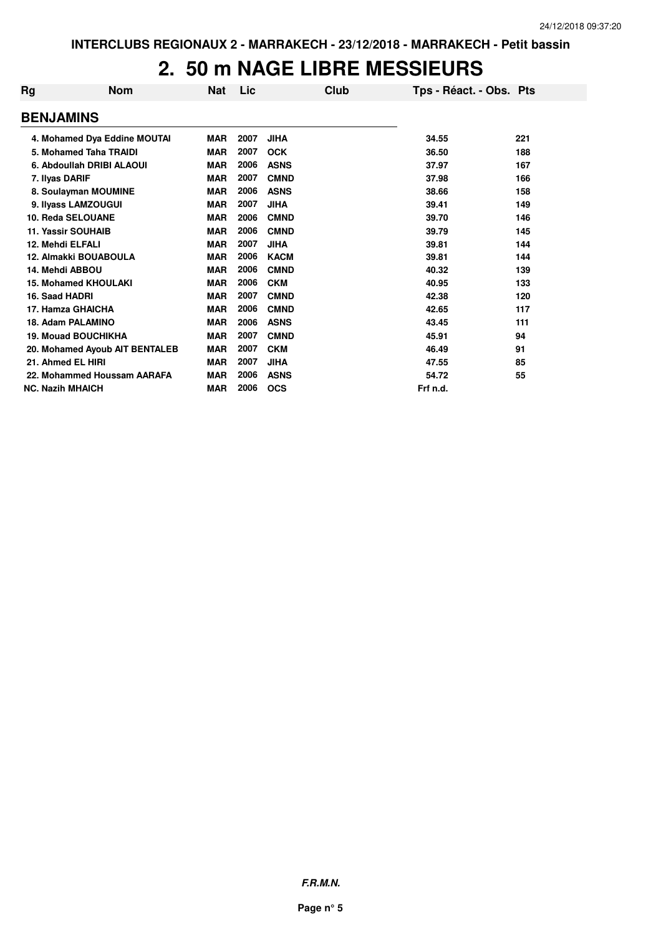#### **2. 50 m NAGE LIBRE MESSIEURS**

| Rg                          | <b>Nom</b>                     | Nat        | Lic  | Club        | Tps - Réact. - Obs. Pts |     |
|-----------------------------|--------------------------------|------------|------|-------------|-------------------------|-----|
| <b>BENJAMINS</b>            |                                |            |      |             |                         |     |
|                             | 4. Mohamed Dya Eddine MOUTAI   | <b>MAR</b> | 2007 | <b>JIHA</b> | 34.55                   | 221 |
| 5. Mohamed Taha TRAIDI      |                                | <b>MAR</b> | 2007 | <b>OCK</b>  | 36.50                   | 188 |
|                             | 6. Abdoullah DRIBI ALAOUI      | <b>MAR</b> | 2006 | <b>ASNS</b> | 37.97                   | 167 |
| 7. Ilyas DARIF              |                                | <b>MAR</b> | 2007 | <b>CMND</b> | 37.98                   | 166 |
| 8. Soulayman MOUMINE        |                                | <b>MAR</b> | 2006 | <b>ASNS</b> | 38.66                   | 158 |
| 9. Ilyass LAMZOUGUI         |                                | <b>MAR</b> | 2007 | <b>JIHA</b> | 39.41                   | 149 |
| 10. Reda SELOUANE           |                                | <b>MAR</b> | 2006 | <b>CMND</b> | 39.70                   | 146 |
| <b>11. Yassir SOUHAIB</b>   |                                | <b>MAR</b> | 2006 | <b>CMND</b> | 39.79                   | 145 |
| 12. Mehdi ELFALI            |                                | <b>MAR</b> | 2007 | <b>JIHA</b> | 39.81                   | 144 |
| 12. Almakki BOUABOULA       |                                | <b>MAR</b> | 2006 | <b>KACM</b> | 39.81                   | 144 |
| 14. Mehdi ABBOU             |                                | <b>MAR</b> | 2006 | <b>CMND</b> | 40.32                   | 139 |
| <b>15. Mohamed KHOULAKI</b> |                                | <b>MAR</b> | 2006 | <b>CKM</b>  | 40.95                   | 133 |
| 16. Saad HADRI              |                                | <b>MAR</b> | 2007 | <b>CMND</b> | 42.38                   | 120 |
| 17. Hamza GHAICHA           |                                | <b>MAR</b> | 2006 | <b>CMND</b> | 42.65                   | 117 |
| 18. Adam PALAMINO           |                                | <b>MAR</b> | 2006 | <b>ASNS</b> | 43.45                   | 111 |
| <b>19. Mouad BOUCHIKHA</b>  |                                | <b>MAR</b> | 2007 | <b>CMND</b> | 45.91                   | 94  |
|                             | 20. Mohamed Ayoub AIT BENTALEB | <b>MAR</b> | 2007 | <b>CKM</b>  | 46.49                   | 91  |
| 21. Ahmed EL HIRI           |                                | <b>MAR</b> | 2007 | <b>JIHA</b> | 47.55                   | 85  |
|                             | 22. Mohammed Houssam AARAFA    | <b>MAR</b> | 2006 | <b>ASNS</b> | 54.72                   | 55  |
| <b>NC. Nazih MHAICH</b>     |                                | <b>MAR</b> | 2006 | <b>OCS</b>  | Frf n.d.                |     |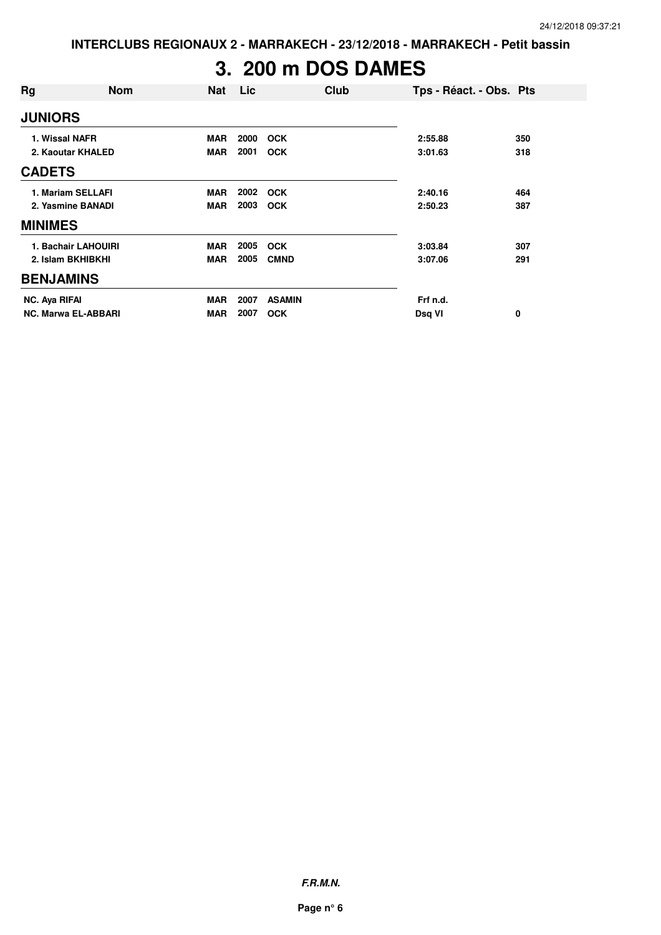**INTERCLUBS REGIONAUX 2 - MARRAKECH - 23/12/2018 - MARRAKECH - Petit bassin**

# **3. 200 m DOS DAMES**

| Rg                | <b>Nom</b>                 | Nat        | Lic  | Club          | Tps - Réact. - Obs. Pts |     |
|-------------------|----------------------------|------------|------|---------------|-------------------------|-----|
| <b>JUNIORS</b>    |                            |            |      |               |                         |     |
| 1. Wissal NAFR    |                            | <b>MAR</b> | 2000 | <b>OCK</b>    | 2:55.88                 | 350 |
| 2. Kaoutar KHALED |                            | <b>MAR</b> | 2001 | <b>OCK</b>    | 3:01.63                 | 318 |
| <b>CADETS</b>     |                            |            |      |               |                         |     |
|                   | 1. Mariam SELLAFI          | <b>MAR</b> | 2002 | <b>OCK</b>    | 2:40.16                 | 464 |
|                   | 2. Yasmine BANADI          | <b>MAR</b> | 2003 | <b>OCK</b>    | 2:50.23                 | 387 |
| <b>MINIMES</b>    |                            |            |      |               |                         |     |
|                   | 1. Bachair LAHOUIRI        | <b>MAR</b> | 2005 | <b>OCK</b>    | 3:03.84                 | 307 |
|                   | 2. Islam BKHIBKHI          | <b>MAR</b> | 2005 | <b>CMND</b>   | 3:07.06                 | 291 |
| <b>BENJAMINS</b>  |                            |            |      |               |                         |     |
| NC. Aya RIFAI     |                            | <b>MAR</b> | 2007 | <b>ASAMIN</b> | Frf n.d.                |     |
|                   | <b>NC. Marwa EL-ABBARI</b> | <b>MAR</b> | 2007 | <b>OCK</b>    | Dsq VI                  | 0   |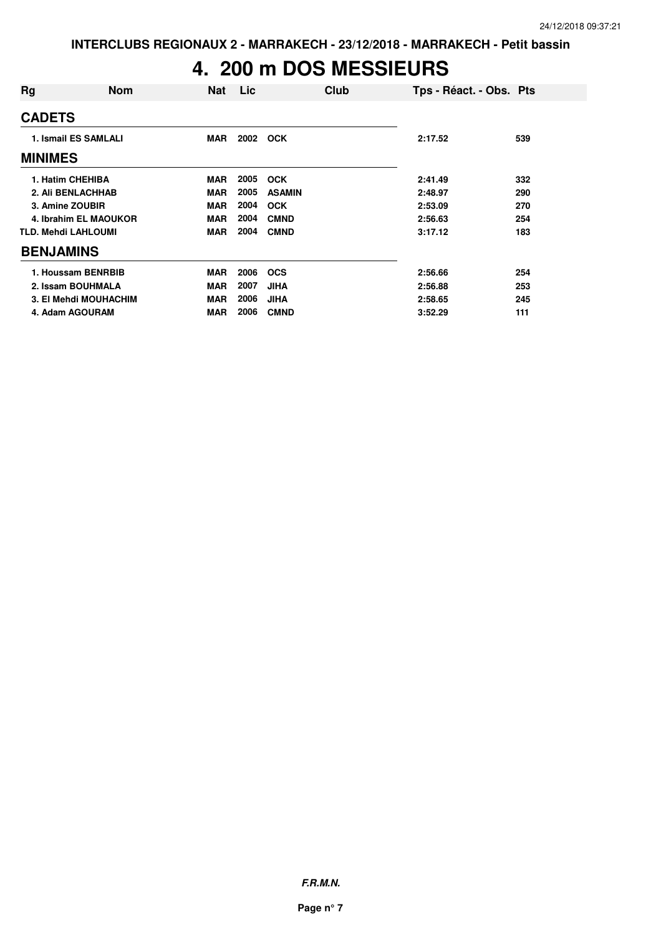# **4. 200 m DOS MESSIEURS**

| Rg                          | <b>Nom</b>            | Nat        | Lic  | Club          | Tps - Réact. - Obs. Pts |     |
|-----------------------------|-----------------------|------------|------|---------------|-------------------------|-----|
| <b>CADETS</b>               |                       |            |      |               |                         |     |
| <b>1. Ismail ES SAMLALI</b> |                       | MAR        |      | 2002 OCK      | 2:17.52                 | 539 |
| <b>MINIMES</b>              |                       |            |      |               |                         |     |
| 1. Hatim CHEHIBA            |                       | <b>MAR</b> | 2005 | <b>OCK</b>    | 2:41.49                 | 332 |
| 2. Ali BENLACHHAB           |                       | <b>MAR</b> | 2005 | <b>ASAMIN</b> | 2:48.97                 | 290 |
| 3. Amine ZOUBIR             |                       | <b>MAR</b> | 2004 | <b>OCK</b>    | 2:53.09                 | 270 |
|                             | 4. Ibrahim EL MAOUKOR | <b>MAR</b> | 2004 | <b>CMND</b>   | 2:56.63                 | 254 |
| <b>TLD. Mehdi LAHLOUMI</b>  |                       | <b>MAR</b> | 2004 | <b>CMND</b>   | 3:17.12                 | 183 |
| <b>BENJAMINS</b>            |                       |            |      |               |                         |     |
| 1. Houssam BENRBIB          |                       | MAR        | 2006 | <b>OCS</b>    | 2:56.66                 | 254 |
| 2. Issam BOUHMALA           |                       | <b>MAR</b> | 2007 | <b>JIHA</b>   | 2:56.88                 | 253 |
|                             | 3. El Mehdi MOUHACHIM | <b>MAR</b> | 2006 | <b>JIHA</b>   | 2:58.65                 | 245 |
| 4. Adam AGOURAM             |                       | <b>MAR</b> | 2006 | <b>CMND</b>   | 3:52.29                 | 111 |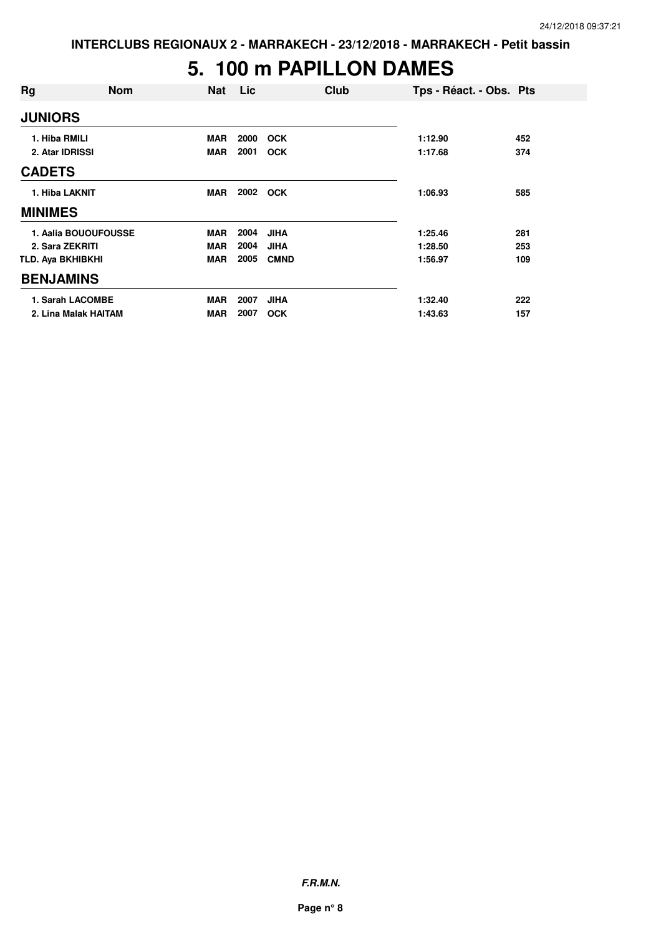### **5. 100 m PAPILLON DAMES**

| Rg                | <b>Nom</b>           | <b>Nat</b> | Lic  | Club        | Tps - Réact. - Obs. Pts |     |
|-------------------|----------------------|------------|------|-------------|-------------------------|-----|
| <b>JUNIORS</b>    |                      |            |      |             |                         |     |
| 1. Hiba RMILI     |                      | <b>MAR</b> | 2000 | <b>OCK</b>  | 1:12.90                 | 452 |
| 2. Atar IDRISSI   |                      | <b>MAR</b> | 2001 | <b>OCK</b>  | 1:17.68                 | 374 |
| <b>CADETS</b>     |                      |            |      |             |                         |     |
| 1. Hiba LAKNIT    |                      | <b>MAR</b> | 2002 | <b>OCK</b>  | 1:06.93                 | 585 |
| <b>MINIMES</b>    |                      |            |      |             |                         |     |
|                   | 1. Aalia BOUOUFOUSSE | <b>MAR</b> | 2004 | <b>JIHA</b> | 1:25.46                 | 281 |
| 2. Sara ZEKRITI   |                      | <b>MAR</b> | 2004 | <b>JIHA</b> | 1:28.50                 | 253 |
| TLD. Aya BKHIBKHI |                      | <b>MAR</b> | 2005 | <b>CMND</b> | 1:56.97                 | 109 |
| <b>BENJAMINS</b>  |                      |            |      |             |                         |     |
|                   | 1. Sarah LACOMBE     | <b>MAR</b> | 2007 | <b>JIHA</b> | 1:32.40                 | 222 |
|                   | 2. Lina Malak HAITAM | <b>MAR</b> | 2007 | <b>OCK</b>  | 1:43.63                 | 157 |

**F.R.M.N.**

**Page n° 8**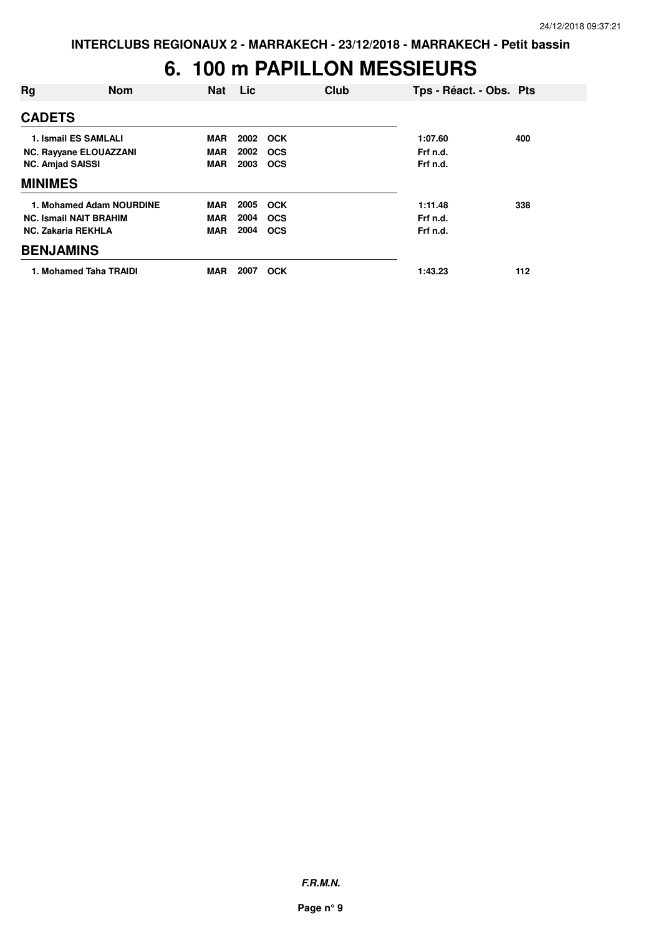### **6. 100 m PAPILLON MESSIEURS**

| Rg                      | <b>Nom</b>                    | <b>Nat</b> | Lic. | Club       | Tps - Réact. - Obs. Pts |     |
|-------------------------|-------------------------------|------------|------|------------|-------------------------|-----|
| <b>CADETS</b>           |                               |            |      |            |                         |     |
|                         | 1. Ismail ES SAMLALI          | <b>MAR</b> | 2002 | <b>OCK</b> | 1:07.60                 | 400 |
|                         | <b>NC. Rayyane ELOUAZZANI</b> | <b>MAR</b> | 2002 | <b>OCS</b> | Frf n.d.                |     |
| <b>NC. Amjad SAISSI</b> |                               | <b>MAR</b> | 2003 | <b>OCS</b> | Frf n.d.                |     |
| <b>MINIMES</b>          |                               |            |      |            |                         |     |
|                         | 1. Mohamed Adam NOURDINE      | MAR        | 2005 | <b>OCK</b> | 1:11.48                 | 338 |
|                         | <b>NC. Ismail NAIT BRAHIM</b> | <b>MAR</b> | 2004 | <b>OCS</b> | Frf n.d.                |     |
|                         | <b>NC. Zakaria REKHLA</b>     | <b>MAR</b> | 2004 | <b>OCS</b> | Frf n.d.                |     |
| <b>BENJAMINS</b>        |                               |            |      |            |                         |     |
|                         | 1. Mohamed Taha TRAIDI        | <b>MAR</b> | 2007 | <b>OCK</b> | 1:43.23                 | 112 |

**F.R.M.N.**

**Page n° 9**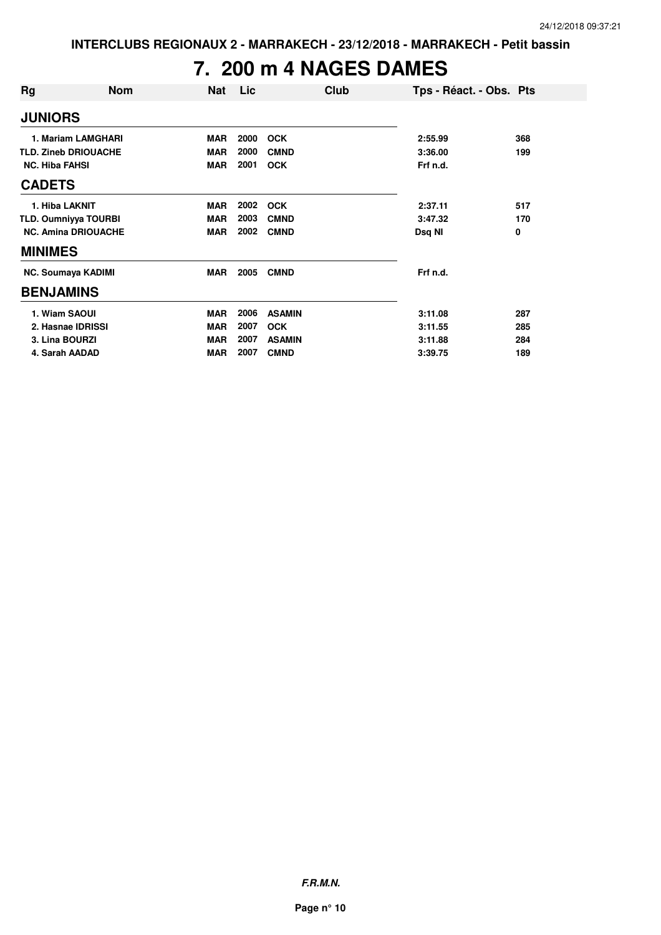## **7. 200 m 4 NAGES DAMES**

| Rg                          | <b>Nom</b>                  | <b>Nat</b> | Lic  | Club          | Tps - Réact. - Obs. Pts |     |
|-----------------------------|-----------------------------|------------|------|---------------|-------------------------|-----|
| <b>JUNIORS</b>              |                             |            |      |               |                         |     |
|                             | 1. Mariam LAMGHARI          | <b>MAR</b> | 2000 | <b>OCK</b>    | 2:55.99                 | 368 |
|                             | <b>TLD. Zineb DRIOUACHE</b> | <b>MAR</b> | 2000 | <b>CMND</b>   | 3:36.00                 | 199 |
| <b>NC. Hiba FAHSI</b>       |                             | <b>MAR</b> | 2001 | <b>OCK</b>    | Frf n.d.                |     |
| <b>CADETS</b>               |                             |            |      |               |                         |     |
| 1. Hiba LAKNIT              |                             | <b>MAR</b> | 2002 | <b>OCK</b>    | 2:37.11                 | 517 |
| <b>TLD. Oumniyya TOURBI</b> |                             | <b>MAR</b> | 2003 | <b>CMND</b>   | 3:47.32                 | 170 |
|                             | <b>NC. Amina DRIOUACHE</b>  | <b>MAR</b> | 2002 | <b>CMND</b>   | Dsq NI                  | 0   |
| <b>MINIMES</b>              |                             |            |      |               |                         |     |
|                             | <b>NC. Soumaya KADIMI</b>   | <b>MAR</b> | 2005 | <b>CMND</b>   | Frf n.d.                |     |
| <b>BENJAMINS</b>            |                             |            |      |               |                         |     |
| 1. Wiam SAOUI               |                             | <b>MAR</b> | 2006 | <b>ASAMIN</b> | 3:11.08                 | 287 |
|                             | 2. Hasnae IDRISSI           | <b>MAR</b> | 2007 | <b>OCK</b>    | 3:11.55                 | 285 |
| 3. Lina BOURZI              |                             | <b>MAR</b> | 2007 | <b>ASAMIN</b> | 3:11.88                 | 284 |
| 4. Sarah AADAD              |                             | <b>MAR</b> | 2007 | <b>CMND</b>   | 3:39.75                 | 189 |

**F.R.M.N.**

**Page n° 10**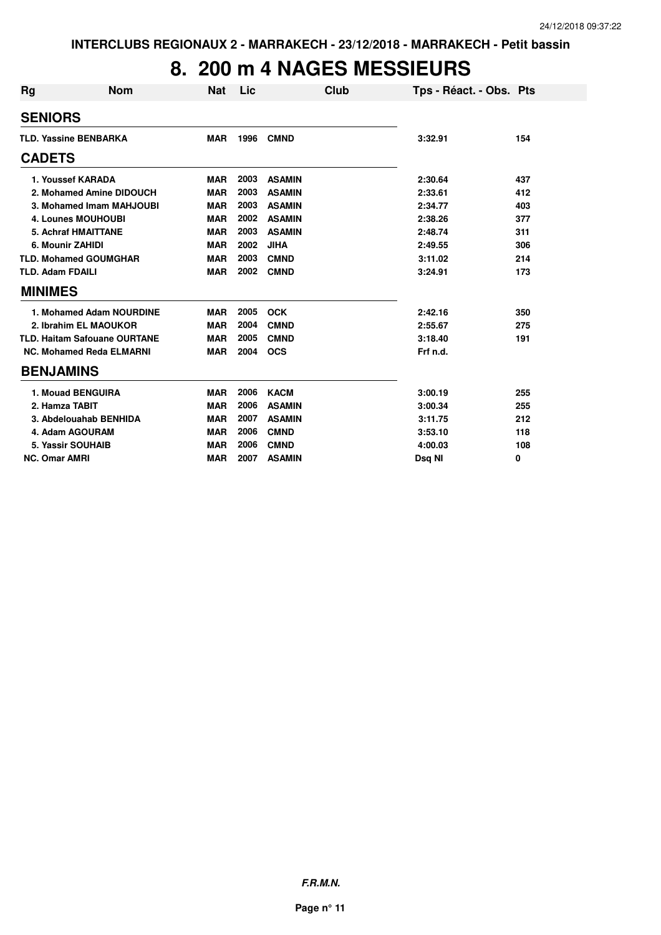### **8. 200 m 4 NAGES MESSIEURS**

| <b>Rg</b>                    | <b>Nom</b>                          | <b>Nat</b> | Lic  | Club          | Tps - Réact. - Obs. Pts |     |
|------------------------------|-------------------------------------|------------|------|---------------|-------------------------|-----|
| <b>SENIORS</b>               |                                     |            |      |               |                         |     |
| <b>TLD. Yassine BENBARKA</b> |                                     | <b>MAR</b> | 1996 | <b>CMND</b>   | 3:32.91                 | 154 |
| <b>CADETS</b>                |                                     |            |      |               |                         |     |
| 1. Youssef KARADA            |                                     | <b>MAR</b> | 2003 | <b>ASAMIN</b> | 2:30.64                 | 437 |
|                              | 2. Mohamed Amine DIDOUCH            | <b>MAR</b> | 2003 | <b>ASAMIN</b> | 2:33.61                 | 412 |
|                              | 3. Mohamed Imam MAHJOUBI            | <b>MAR</b> | 2003 | <b>ASAMIN</b> | 2:34.77                 | 403 |
|                              | <b>4. Lounes MOUHOUBI</b>           | <b>MAR</b> | 2002 | <b>ASAMIN</b> | 2:38.26                 | 377 |
|                              | <b>5. Achraf HMAITTANE</b>          | <b>MAR</b> | 2003 | <b>ASAMIN</b> | 2:48.74                 | 311 |
| 6. Mounir ZAHIDI             |                                     | <b>MAR</b> | 2002 | <b>JIHA</b>   | 2:49.55                 | 306 |
|                              | <b>TLD. Mohamed GOUMGHAR</b>        | <b>MAR</b> | 2003 | <b>CMND</b>   | 3:11.02                 | 214 |
| <b>TLD. Adam FDAILI</b>      |                                     | <b>MAR</b> | 2002 | <b>CMND</b>   | 3:24.91                 | 173 |
| <b>MINIMES</b>               |                                     |            |      |               |                         |     |
|                              | 1. Mohamed Adam NOURDINE            | <b>MAR</b> | 2005 | <b>OCK</b>    | 2:42.16                 | 350 |
|                              | 2. Ibrahim EL MAOUKOR               | <b>MAR</b> | 2004 | <b>CMND</b>   | 2:55.67                 | 275 |
|                              | <b>TLD. Haitam Safouane OURTANE</b> | <b>MAR</b> | 2005 | <b>CMND</b>   | 3:18.40                 | 191 |
|                              | NC. Mohamed Reda ELMARNI            | <b>MAR</b> | 2004 | <b>OCS</b>    | Frf n.d.                |     |
| <b>BENJAMINS</b>             |                                     |            |      |               |                         |     |
|                              | 1. Mouad BENGUIRA                   | <b>MAR</b> | 2006 | <b>KACM</b>   | 3:00.19                 | 255 |
| 2. Hamza TABIT               |                                     | <b>MAR</b> | 2006 | <b>ASAMIN</b> | 3:00.34                 | 255 |
|                              | 3. Abdelouahab BENHIDA              | <b>MAR</b> | 2007 | <b>ASAMIN</b> | 3:11.75                 | 212 |
| 4. Adam AGOURAM              |                                     | <b>MAR</b> | 2006 | <b>CMND</b>   | 3:53.10                 | 118 |
| 5. Yassir SOUHAIB            |                                     | <b>MAR</b> | 2006 | <b>CMND</b>   | 4:00.03                 | 108 |
| <b>NC. Omar AMRI</b>         |                                     | <b>MAR</b> | 2007 | <b>ASAMIN</b> | Dsq NI                  | 0   |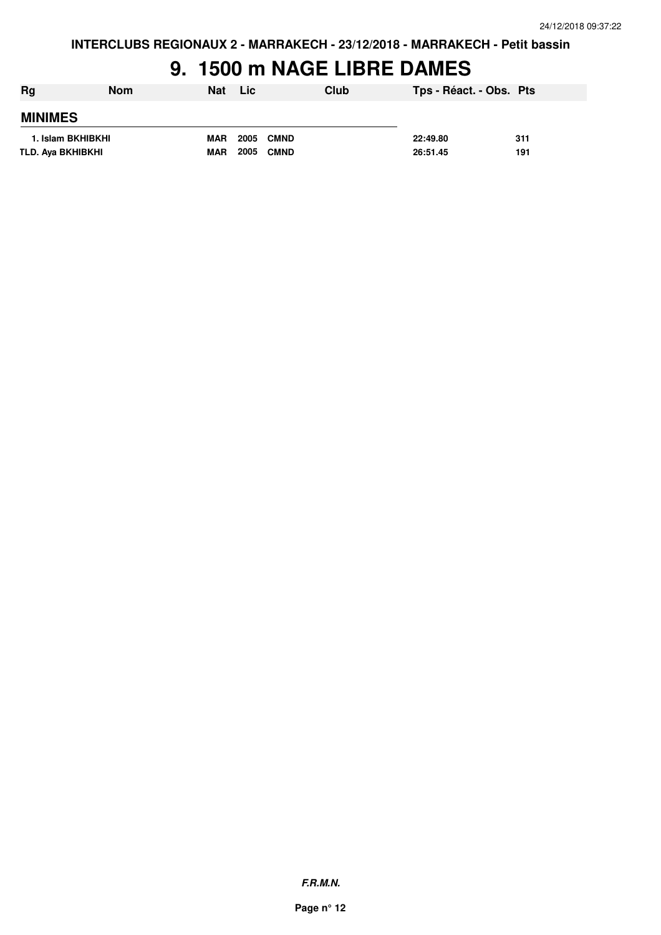# **9. 1500 m NAGE LIBRE DAMES**

| Rg                | <b>Nom</b> | <b>Nat</b> | Lic                 | Club | Tps - Réact. - Obs. Pts |     |
|-------------------|------------|------------|---------------------|------|-------------------------|-----|
| <b>MINIMES</b>    |            |            |                     |      |                         |     |
| 1. Islam BKHIBKHI |            | <b>MAR</b> | 2005<br><b>CMND</b> |      | 22:49.80                | 311 |
| TLD. Aya BKHIBKHI |            | <b>MAR</b> | 2005<br><b>CMND</b> |      | 26:51.45                | 191 |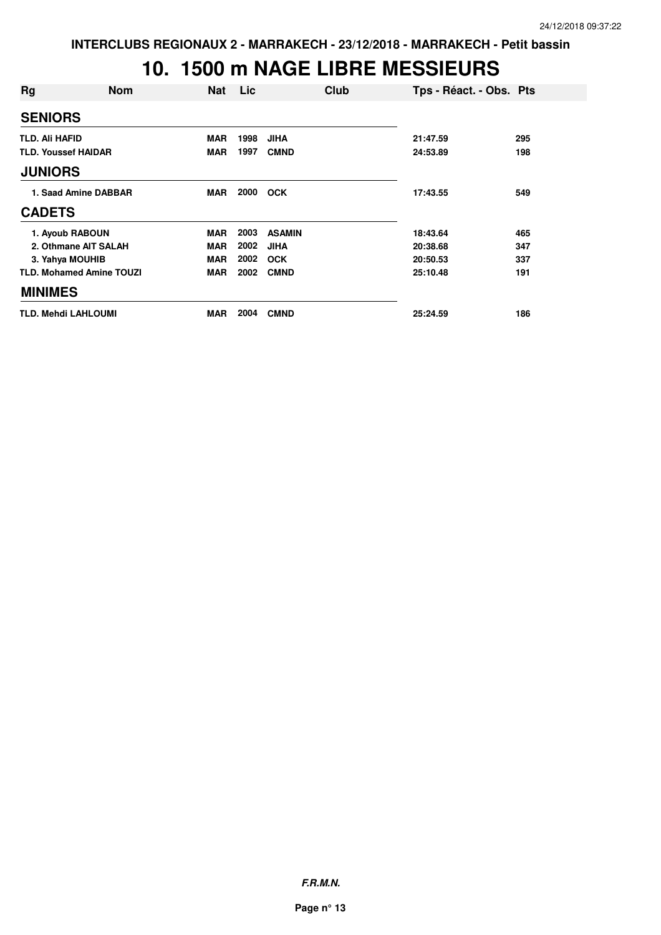### **10. 1500 m NAGE LIBRE MESSIEURS**

| Rg                         | <b>Nom</b>                      | <b>Nat</b> | <b>Lic</b> | Club          | Tps - Réact. - Obs. Pts |     |
|----------------------------|---------------------------------|------------|------------|---------------|-------------------------|-----|
| <b>SENIORS</b>             |                                 |            |            |               |                         |     |
| <b>TLD. Ali HAFID</b>      |                                 | <b>MAR</b> | 1998       | <b>JIHA</b>   | 21:47.59                | 295 |
| <b>TLD. Youssef HAIDAR</b> |                                 | <b>MAR</b> | 1997       | <b>CMND</b>   | 24:53.89                | 198 |
| <b>JUNIORS</b>             |                                 |            |            |               |                         |     |
| 1. Saad Amine DABBAR       |                                 | <b>MAR</b> | 2000       | <b>OCK</b>    | 17:43.55                | 549 |
| <b>CADETS</b>              |                                 |            |            |               |                         |     |
|                            | 1. Ayoub RABOUN                 | <b>MAR</b> | 2003       | <b>ASAMIN</b> | 18:43.64                | 465 |
|                            | 2. Othmane AIT SALAH            | <b>MAR</b> | 2002       | <b>JIHA</b>   | 20:38.68                | 347 |
|                            | 3. Yahya MOUHIB                 | <b>MAR</b> | 2002       | <b>OCK</b>    | 20:50.53                | 337 |
|                            | <b>TLD. Mohamed Amine TOUZI</b> | <b>MAR</b> | 2002       | <b>CMND</b>   | 25:10.48                | 191 |
| <b>MINIMES</b>             |                                 |            |            |               |                         |     |
|                            | <b>TLD. Mehdi LAHLOUMI</b>      | <b>MAR</b> | 2004       | <b>CMND</b>   | 25:24.59                | 186 |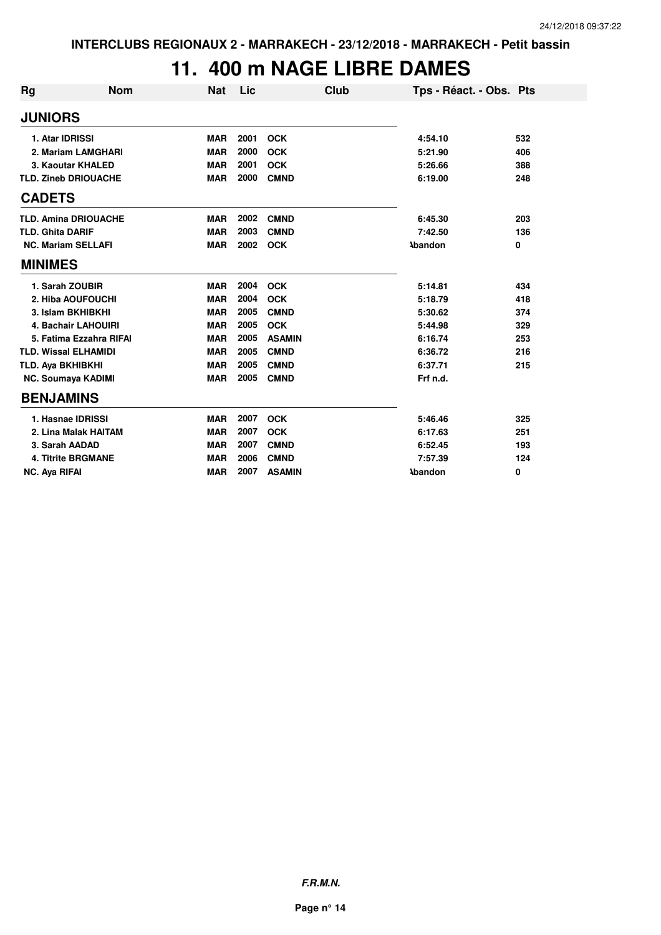## **11. 400 m NAGE LIBRE DAMES**

| Rg                          | <b>Nom</b>                  | <b>Nat</b> | Lic  |               | <b>Club</b>    | Tps - Réact. - Obs. Pts |     |
|-----------------------------|-----------------------------|------------|------|---------------|----------------|-------------------------|-----|
| <b>JUNIORS</b>              |                             |            |      |               |                |                         |     |
| 1. Atar IDRISSI             |                             | <b>MAR</b> | 2001 | <b>OCK</b>    | 4:54.10        |                         | 532 |
|                             | 2. Mariam LAMGHARI          | <b>MAR</b> | 2000 | <b>OCK</b>    | 5:21.90        |                         | 406 |
|                             | 3. Kaoutar KHALED           | <b>MAR</b> | 2001 | <b>OCK</b>    | 5:26.66        |                         | 388 |
| <b>TLD. Zineb DRIOUACHE</b> |                             | <b>MAR</b> | 2000 | <b>CMND</b>   | 6:19.00        |                         | 248 |
| <b>CADETS</b>               |                             |            |      |               |                |                         |     |
|                             | <b>TLD. Amina DRIOUACHE</b> | <b>MAR</b> | 2002 | <b>CMND</b>   | 6:45.30        |                         | 203 |
| <b>TLD. Ghita DARIF</b>     |                             | <b>MAR</b> | 2003 | <b>CMND</b>   | 7:42.50        |                         | 136 |
| <b>NC. Mariam SELLAFI</b>   |                             | <b>MAR</b> | 2002 | <b>OCK</b>    | <b>Abandon</b> |                         | 0   |
| <b>MINIMES</b>              |                             |            |      |               |                |                         |     |
| 1. Sarah ZOUBIR             |                             | <b>MAR</b> | 2004 | <b>OCK</b>    | 5:14.81        |                         | 434 |
|                             | 2. Hiba AOUFOUCHI           | <b>MAR</b> | 2004 | <b>OCK</b>    | 5:18.79        |                         | 418 |
| 3. Islam BKHIBKHI           |                             | <b>MAR</b> | 2005 | <b>CMND</b>   | 5:30.62        |                         | 374 |
|                             | <b>4. Bachair LAHOUIRI</b>  | <b>MAR</b> | 2005 | <b>OCK</b>    | 5:44.98        |                         | 329 |
|                             | 5. Fatima Ezzahra RIFAI     | <b>MAR</b> | 2005 | <b>ASAMIN</b> | 6:16.74        |                         | 253 |
| <b>TLD. Wissal ELHAMIDI</b> |                             | <b>MAR</b> | 2005 | <b>CMND</b>   | 6:36.72        |                         | 216 |
| TLD. Aya BKHIBKHI           |                             | <b>MAR</b> | 2005 | <b>CMND</b>   | 6:37.71        |                         | 215 |
| <b>NC. Soumaya KADIMI</b>   |                             | <b>MAR</b> | 2005 | <b>CMND</b>   | Frf n.d.       |                         |     |
| <b>BENJAMINS</b>            |                             |            |      |               |                |                         |     |
| 1. Hasnae IDRISSI           |                             | <b>MAR</b> | 2007 | <b>OCK</b>    | 5:46.46        |                         | 325 |
|                             | 2. Lina Malak HAITAM        | <b>MAR</b> | 2007 | <b>OCK</b>    | 6:17.63        |                         | 251 |
| 3. Sarah AADAD              |                             | <b>MAR</b> | 2007 | <b>CMND</b>   | 6:52.45        |                         | 193 |
|                             | <b>4. Titrite BRGMANE</b>   | <b>MAR</b> | 2006 | <b>CMND</b>   | 7:57.39        |                         | 124 |
| <b>NC. Ava RIFAI</b>        |                             | <b>MAR</b> | 2007 | <b>ASAMIN</b> | <b>Abandon</b> |                         | 0   |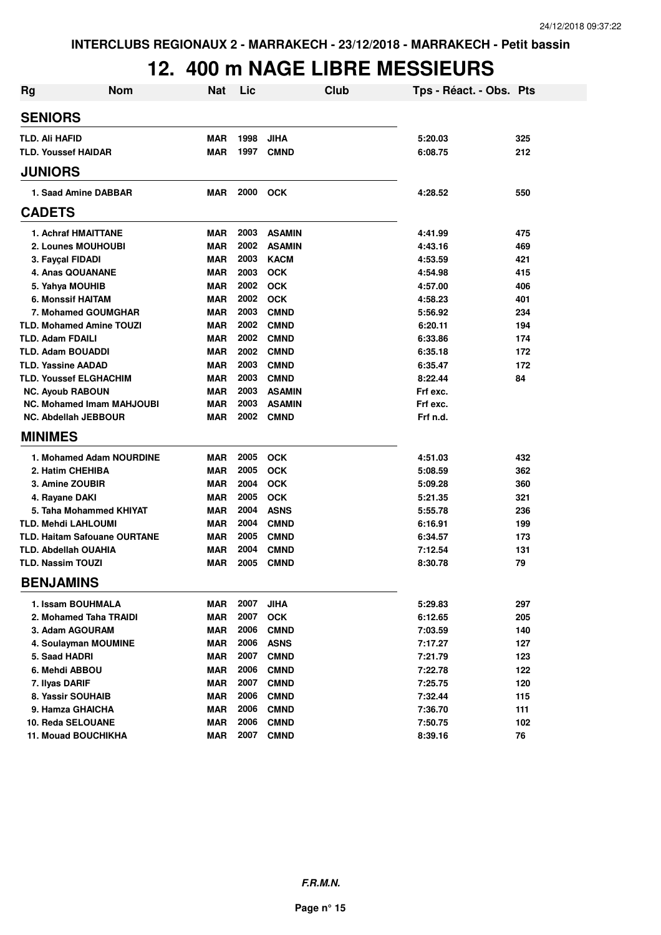### **12. 400 m NAGE LIBRE MESSIEURS**

| <b>Rg</b>                           | <b>Nom</b>               | <b>Nat</b> | Lic  | Club          | Tps - Réact. - Obs. Pts |     |
|-------------------------------------|--------------------------|------------|------|---------------|-------------------------|-----|
| <b>SENIORS</b>                      |                          |            |      |               |                         |     |
| <b>TLD. Ali HAFID</b>               |                          | <b>MAR</b> | 1998 | <b>JIHA</b>   | 5:20.03                 | 325 |
| <b>TLD. Youssef HAIDAR</b>          |                          | MAR        | 1997 | <b>CMND</b>   | 6:08.75                 | 212 |
| <b>JUNIORS</b>                      |                          |            |      |               |                         |     |
| 1. Saad Amine DABBAR                |                          | <b>MAR</b> | 2000 | <b>OCK</b>    | 4:28.52                 | 550 |
| <b>CADETS</b>                       |                          |            |      |               |                         |     |
| 1. Achraf HMAITTANE                 |                          | <b>MAR</b> | 2003 | <b>ASAMIN</b> | 4:41.99                 | 475 |
| 2. Lounes MOUHOUBI                  |                          | <b>MAR</b> | 2002 | <b>ASAMIN</b> | 4:43.16                 | 469 |
| 3. Fayçal FIDADI                    |                          | <b>MAR</b> | 2003 | <b>KACM</b>   | 4:53.59                 | 421 |
| 4. Anas QOUANANE                    |                          | <b>MAR</b> | 2003 | <b>OCK</b>    | 4:54.98                 | 415 |
| 5. Yahya MOUHIB                     |                          | <b>MAR</b> | 2002 | <b>OCK</b>    | 4:57.00                 | 406 |
| 6. Monssif HAITAM                   |                          | <b>MAR</b> | 2002 | <b>OCK</b>    | 4:58.23                 | 401 |
| 7. Mohamed GOUMGHAR                 |                          | <b>MAR</b> | 2003 | <b>CMND</b>   | 5:56.92                 | 234 |
| <b>TLD. Mohamed Amine TOUZI</b>     |                          | <b>MAR</b> | 2002 | <b>CMND</b>   | 6:20.11                 | 194 |
| <b>TLD. Adam FDAILI</b>             |                          | <b>MAR</b> | 2002 | <b>CMND</b>   | 6:33.86                 | 174 |
| <b>TLD. Adam BOUADDI</b>            |                          | MAR        | 2002 | <b>CMND</b>   | 6:35.18                 | 172 |
| <b>TLD. Yassine AADAD</b>           |                          | MAR        | 2003 | <b>CMND</b>   | 6:35.47                 | 172 |
| <b>TLD. Youssef ELGHACHIM</b>       |                          | <b>MAR</b> | 2003 | <b>CMND</b>   | 8:22.44                 | 84  |
| <b>NC. Ayoub RABOUN</b>             |                          | <b>MAR</b> | 2003 | <b>ASAMIN</b> | Frf exc.                |     |
| <b>NC. Mohamed Imam MAHJOUBI</b>    |                          | MAR        | 2003 | <b>ASAMIN</b> | Frf exc.                |     |
| <b>NC. Abdellah JEBBOUR</b>         |                          | MAR        | 2002 | <b>CMND</b>   | Frf n.d.                |     |
| <b>MINIMES</b>                      |                          |            |      |               |                         |     |
|                                     | 1. Mohamed Adam NOURDINE | MAR        | 2005 | <b>OCK</b>    | 4:51.03                 | 432 |
| 2. Hatim CHEHIBA                    |                          | <b>MAR</b> | 2005 | <b>OCK</b>    | 5:08.59                 | 362 |
| <b>3. Amine ZOUBIR</b>              |                          | MAR        | 2004 | <b>OCK</b>    | 5:09.28                 | 360 |
| 4. Rayane DAKI                      |                          | <b>MAR</b> | 2005 | <b>OCK</b>    | 5:21.35                 | 321 |
| 5. Taha Mohammed KHIYAT             |                          | MAR        | 2004 | <b>ASNS</b>   | 5:55.78                 | 236 |
| <b>TLD. Mehdi LAHLOUMI</b>          |                          | <b>MAR</b> | 2004 | <b>CMND</b>   | 6:16.91                 | 199 |
| <b>TLD. Haitam Safouane OURTANE</b> |                          | <b>MAR</b> | 2005 | <b>CMND</b>   | 6:34.57                 | 173 |
| <b>TLD. Abdellah OUAHIA</b>         |                          | <b>MAR</b> | 2004 | <b>CMND</b>   | 7:12.54                 | 131 |
| <b>TLD. Nassim TOUZI</b>            |                          | MAR        | 2005 | <b>CMND</b>   | 8:30.78                 | 79  |
| <b>BENJAMINS</b>                    |                          |            |      |               |                         |     |
| 1. Issam BOUHMALA                   |                          | MAR        | 2007 | <b>JIHA</b>   | 5:29.83                 | 297 |
| 2. Mohamed Taha TRAIDI              |                          | <b>MAR</b> | 2007 | <b>OCK</b>    | 6:12.65                 | 205 |
| 3. Adam AGOURAM                     |                          | MAR        | 2006 | <b>CMND</b>   | 7:03.59                 | 140 |
| 4. Soulayman MOUMINE                |                          | MAR        | 2006 | <b>ASNS</b>   | 7:17.27                 | 127 |
| 5. Saad HADRI                       |                          | MAR        | 2007 | <b>CMND</b>   | 7:21.79                 | 123 |
| 6. Mehdi ABBOU                      |                          | MAR        | 2006 | <b>CMND</b>   | 7:22.78                 | 122 |
| 7. Ilyas DARIF                      |                          | MAR        | 2007 | <b>CMND</b>   | 7:25.75                 | 120 |
| 8. Yassir SOUHAIB                   |                          | MAR        | 2006 | <b>CMND</b>   | 7:32.44                 | 115 |
| 9. Hamza GHAICHA                    |                          | MAR        | 2006 | <b>CMND</b>   | 7:36.70                 | 111 |
| 10. Reda SELOUANE                   |                          | MAR        | 2006 | <b>CMND</b>   | 7:50.75                 | 102 |
| 11. Mouad BOUCHIKHA                 |                          | <b>MAR</b> | 2007 | <b>CMND</b>   | 8:39.16                 | 76  |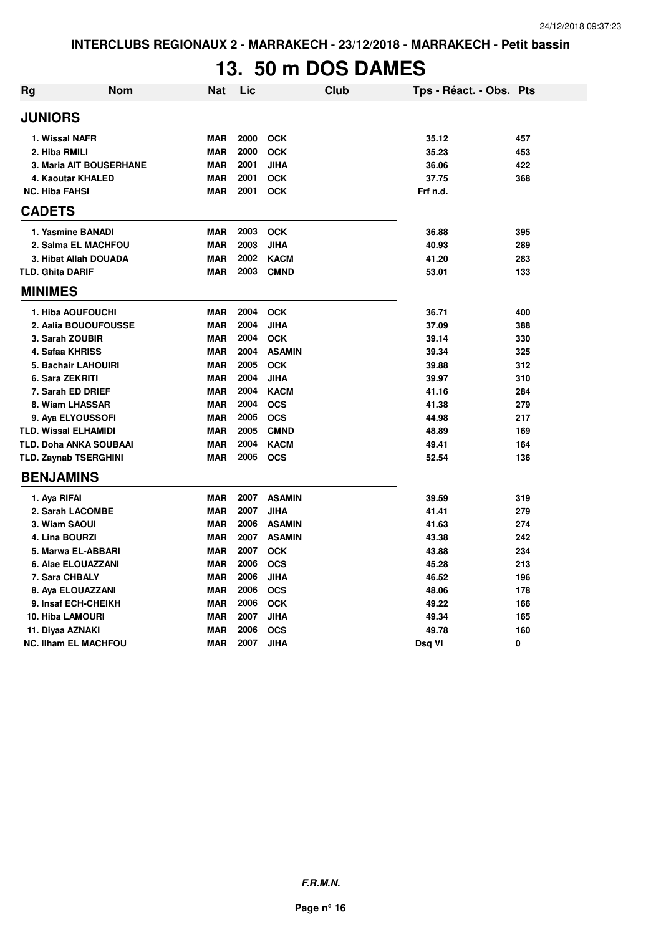# **13. 50 m DOS DAMES**

| <b>Rg</b>               | <b>Nom</b>                    | <b>Nat</b> | Lic  | Club          | Tps - Réact. - Obs. Pts |     |
|-------------------------|-------------------------------|------------|------|---------------|-------------------------|-----|
| <b>JUNIORS</b>          |                               |            |      |               |                         |     |
|                         | 1. Wissal NAFR                | <b>MAR</b> | 2000 | <b>OCK</b>    | 35.12                   | 457 |
| 2. Hiba RMILI           |                               | <b>MAR</b> | 2000 | <b>OCK</b>    | 35.23                   | 453 |
|                         | 3. Maria AIT BOUSERHANE       | <b>MAR</b> | 2001 | <b>JIHA</b>   | 36.06                   | 422 |
|                         | 4. Kaoutar KHALED             | <b>MAR</b> | 2001 | <b>OCK</b>    | 37.75                   | 368 |
| <b>NC. Hiba FAHSI</b>   |                               | <b>MAR</b> | 2001 | <b>OCK</b>    | Frf n.d.                |     |
| <b>CADETS</b>           |                               |            |      |               |                         |     |
|                         | 1. Yasmine BANADI             | <b>MAR</b> | 2003 | <b>OCK</b>    | 36.88                   | 395 |
|                         | 2. Salma EL MACHFOU           | <b>MAR</b> | 2003 | <b>JIHA</b>   | 40.93                   | 289 |
|                         | 3. Hibat Allah DOUADA         | <b>MAR</b> | 2002 | <b>KACM</b>   | 41.20                   | 283 |
| <b>TLD. Ghita DARIF</b> |                               | <b>MAR</b> | 2003 | <b>CMND</b>   | 53.01                   | 133 |
| <b>MINIMES</b>          |                               |            |      |               |                         |     |
|                         | 1. Hiba AOUFOUCHI             | <b>MAR</b> | 2004 | <b>OCK</b>    | 36.71                   | 400 |
|                         | 2. Aalia BOUOUFOUSSE          | <b>MAR</b> | 2004 | <b>JIHA</b>   | 37.09                   | 388 |
|                         | 3. Sarah ZOUBIR               | <b>MAR</b> | 2004 | <b>OCK</b>    | 39.14                   | 330 |
|                         | 4. Safaa KHRISS               | <b>MAR</b> | 2004 | <b>ASAMIN</b> | 39.34                   | 325 |
|                         | 5. Bachair LAHOUIRI           | <b>MAR</b> | 2005 | <b>OCK</b>    | 39.88                   | 312 |
|                         | 6. Sara ZEKRITI               | <b>MAR</b> | 2004 | <b>JIHA</b>   | 39.97                   | 310 |
|                         | 7. Sarah ED DRIEF             | <b>MAR</b> | 2004 | <b>KACM</b>   | 41.16                   | 284 |
|                         | 8. Wiam LHASSAR               | <b>MAR</b> | 2004 | <b>OCS</b>    | 41.38                   | 279 |
|                         | 9. Aya ELYOUSSOFI             | <b>MAR</b> | 2005 | <b>OCS</b>    | 44.98                   | 217 |
|                         | <b>TLD. Wissal ELHAMIDI</b>   | <b>MAR</b> | 2005 | <b>CMND</b>   | 48.89                   | 169 |
|                         | <b>TLD. Doha ANKA SOUBAAI</b> | <b>MAR</b> | 2004 | <b>KACM</b>   | 49.41                   | 164 |
|                         | <b>TLD. Zaynab TSERGHINI</b>  | <b>MAR</b> | 2005 | <b>OCS</b>    | 52.54                   | 136 |
| <b>BENJAMINS</b>        |                               |            |      |               |                         |     |
| 1. Aya RIFAI            |                               | <b>MAR</b> | 2007 | <b>ASAMIN</b> | 39.59                   | 319 |
|                         | 2. Sarah LACOMBE              | <b>MAR</b> | 2007 | JIHA          | 41.41                   | 279 |
|                         | 3. Wiam SAOUI                 | <b>MAR</b> | 2006 | <b>ASAMIN</b> | 41.63                   | 274 |
|                         | 4. Lina BOURZI                | <b>MAR</b> | 2007 | <b>ASAMIN</b> | 43.38                   | 242 |
|                         | 5. Marwa EL-ABBARI            | <b>MAR</b> | 2007 | <b>OCK</b>    | 43.88                   | 234 |
|                         | 6. Alae ELOUAZZANI            | <b>MAR</b> | 2006 | <b>OCS</b>    | 45.28                   | 213 |
|                         | 7. Sara CHBALY                | <b>MAR</b> | 2006 | <b>JIHA</b>   | 46.52                   | 196 |
|                         | 8. Aya ELOUAZZANI             | <b>MAR</b> | 2006 | <b>OCS</b>    | 48.06                   | 178 |
|                         | 9. Insaf ECH-CHEIKH           | <b>MAR</b> | 2006 | <b>OCK</b>    | 49.22                   | 166 |
|                         | <b>10. Hiba LAMOURI</b>       | <b>MAR</b> | 2007 | <b>JIHA</b>   | 49.34                   | 165 |
|                         | 11. Diyaa AZNAKI              | <b>MAR</b> | 2006 | <b>OCS</b>    | 49.78                   | 160 |
|                         | <b>NC. Ilham EL MACHFOU</b>   | <b>MAR</b> | 2007 | <b>JIHA</b>   | Dsq VI                  | 0   |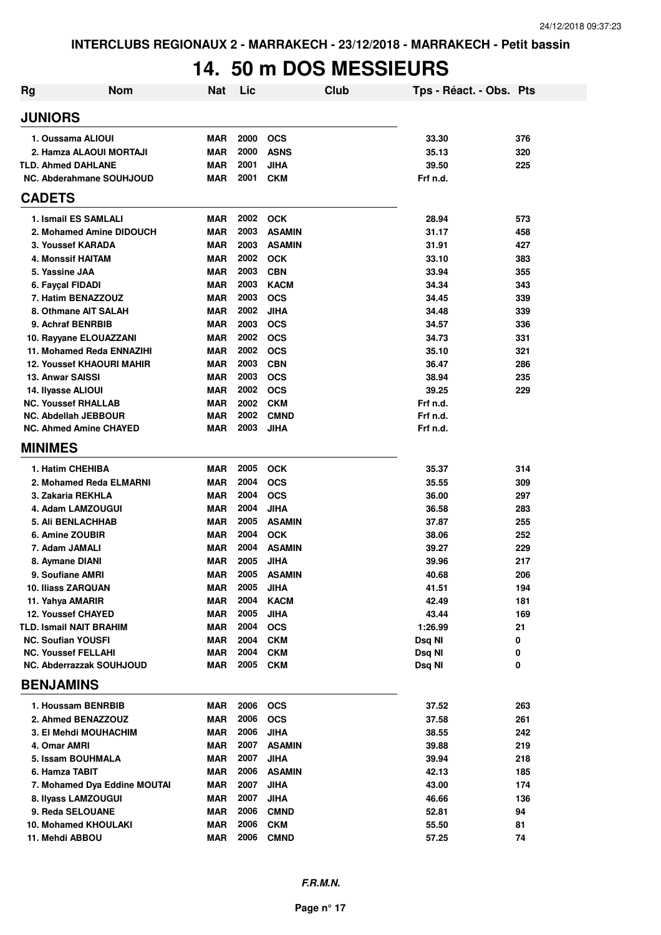### **14. 50 m DOS MESSIEURS**

| <b>Rg</b>      | <b>Nom</b>                                                | <b>Nat</b>               | Lic          |                              | Club | Tps - Réact. - Obs. Pts |            |
|----------------|-----------------------------------------------------------|--------------------------|--------------|------------------------------|------|-------------------------|------------|
| <b>JUNIORS</b> |                                                           |                          |              |                              |      |                         |            |
|                | 1. Oussama ALIOUI                                         | <b>MAR</b>               | 2000         | <b>OCS</b>                   |      | 33.30                   | 376        |
|                | 2. Hamza ALAOUI MORTAJI                                   | <b>MAR</b>               | 2000         | <b>ASNS</b>                  |      | 35.13                   | 320        |
|                | <b>TLD. Ahmed DAHLANE</b>                                 | <b>MAR</b>               | 2001         | <b>JIHA</b>                  |      | 39.50                   | 225        |
|                | NC. Abderahmane SOUHJOUD                                  | <b>MAR</b>               | 2001         | <b>CKM</b>                   |      | Frf n.d.                |            |
| <b>CADETS</b>  |                                                           |                          |              |                              |      |                         |            |
|                | 1. Ismail ES SAMLALI                                      | <b>MAR</b>               | 2002         | <b>OCK</b>                   |      | 28.94                   | 573        |
|                | 2. Mohamed Amine DIDOUCH                                  | <b>MAR</b>               | 2003         | <b>ASAMIN</b>                |      | 31.17                   | 458        |
|                | 3. Youssef KARADA                                         | <b>MAR</b>               | 2003         | <b>ASAMIN</b>                |      | 31.91                   | 427        |
|                | 4. Monssif HAITAM                                         | <b>MAR</b>               | 2002         | <b>OCK</b>                   |      | 33.10                   | 383        |
|                | 5. Yassine JAA                                            | <b>MAR</b>               | 2003         | <b>CBN</b>                   |      | 33.94                   | 355        |
|                | 6. Fayçal FIDADI                                          | <b>MAR</b>               | 2003         | <b>KACM</b>                  |      | 34.34                   | 343        |
|                | 7. Hatim BENAZZOUZ                                        | <b>MAR</b>               | 2003         | <b>OCS</b>                   |      | 34.45                   | 339        |
|                | 8. Othmane AIT SALAH                                      | <b>MAR</b>               | 2002         | <b>JIHA</b>                  |      | 34.48                   | 339        |
|                | 9. Achraf BENRBIB                                         | <b>MAR</b>               | 2003         | <b>OCS</b>                   |      | 34.57                   | 336        |
|                | 10. Rayyane ELOUAZZANI                                    | <b>MAR</b>               | 2002         | <b>OCS</b>                   |      | 34.73                   | 331        |
|                | 11. Mohamed Reda ENNAZIHI                                 | <b>MAR</b>               | 2002         | <b>OCS</b>                   |      | 35.10                   | 321        |
|                | <b>12. Youssef KHAOURI MAHIR</b>                          | <b>MAR</b>               | 2003         | <b>CBN</b>                   |      | 36.47                   | 286        |
|                | 13. Anwar SAISSI                                          | <b>MAR</b>               | 2003         | <b>OCS</b>                   |      | 38.94                   | 235        |
|                | 14. Ilyasse ALIOUI                                        | <b>MAR</b>               | 2002         | <b>OCS</b>                   |      | 39.25                   | 229        |
|                | <b>NC. Youssef RHALLAB</b><br><b>NC. Abdellah JEBBOUR</b> | <b>MAR</b><br><b>MAR</b> | 2002<br>2002 | <b>CKM</b><br><b>CMND</b>    |      | Frf n.d.<br>Frf n.d.    |            |
|                | <b>NC. Ahmed Amine CHAYED</b>                             | <b>MAR</b>               | 2003         | <b>JIHA</b>                  |      | Frf n.d.                |            |
|                |                                                           |                          |              |                              |      |                         |            |
| <b>MINIMES</b> |                                                           |                          |              |                              |      |                         |            |
|                | 1. Hatim CHEHIBA                                          | <b>MAR</b>               | 2005         | <b>OCK</b>                   |      | 35.37                   | 314        |
|                | 2. Mohamed Reda ELMARNI                                   | <b>MAR</b>               | 2004         | <b>OCS</b>                   |      | 35.55                   | 309        |
|                | 3. Zakaria REKHLA                                         | <b>MAR</b>               | 2004         | <b>OCS</b>                   |      | 36.00                   | 297        |
|                | 4. Adam LAMZOUGUI                                         | <b>MAR</b>               | 2004         | <b>JIHA</b>                  |      | 36.58                   | 283        |
|                | <b>5. Ali BENLACHHAB</b>                                  | <b>MAR</b>               | 2005         | <b>ASAMIN</b>                |      | 37.87                   | 255        |
|                | 6. Amine ZOUBIR                                           | <b>MAR</b>               | 2004         | <b>OCK</b>                   |      | 38.06                   | 252        |
|                | 7. Adam JAMALI                                            | <b>MAR</b>               | 2004         | <b>ASAMIN</b>                |      | 39.27                   | 229        |
|                | 8. Aymane DIANI                                           | <b>MAR</b>               | 2005<br>2005 | <b>JIHA</b>                  |      | 39.96                   | 217        |
|                | 9. Soufiane AMRI<br>10. Iliass ZARQUAN                    | <b>MAR</b><br><b>MAR</b> | 2005         | <b>ASAMIN</b><br><b>JIHA</b> |      | 40.68<br>41.51          | 206<br>194 |
|                | 11. Yahya AMARIR                                          | <b>MAR</b>               | 2004         | <b>KACM</b>                  |      | 42.49                   | 181        |
|                | 12. Youssef CHAYED                                        | <b>MAR</b>               | 2005         | <b>JIHA</b>                  |      | 43.44                   | 169        |
|                | <b>TLD. Ismail NAIT BRAHIM</b>                            | MAR                      | 2004         | <b>OCS</b>                   |      | 1:26.99                 | 21         |
|                | <b>NC. Soufian YOUSFI</b>                                 | <b>MAR</b>               | 2004         | <b>CKM</b>                   |      | Dsq NI                  | 0          |
|                | <b>NC. Youssef FELLAHI</b>                                | <b>MAR</b>               | 2004         | <b>CKM</b>                   |      | Dsq NI                  | 0          |
|                | <b>NC. Abderrazzak SOUHJOUD</b>                           | <b>MAR</b>               | 2005         | <b>CKM</b>                   |      | Dsq NI                  | 0          |
|                | <b>BENJAMINS</b>                                          |                          |              |                              |      |                         |            |
|                | 1. Houssam BENRBIB                                        | <b>MAR</b>               | 2006         | <b>OCS</b>                   |      | 37.52                   | 263        |
|                | 2. Ahmed BENAZZOUZ                                        | <b>MAR</b>               | 2006         | <b>OCS</b>                   |      | 37.58                   | 261        |
|                | 3. El Mehdi MOUHACHIM                                     | <b>MAR</b>               | 2006         | <b>JIHA</b>                  |      | 38.55                   | 242        |
|                | 4. Omar AMRI                                              | MAR                      | 2007         | <b>ASAMIN</b>                |      | 39.88                   | 219        |
|                | 5. Issam BOUHMALA                                         | <b>MAR</b>               | 2007         | JIHA                         |      | 39.94                   | 218        |
|                | 6. Hamza TABIT                                            | MAR                      | 2006         | <b>ASAMIN</b>                |      | 42.13                   | 185        |
|                | 7. Mohamed Dya Eddine MOUTAI                              | <b>MAR</b>               | 2007         | <b>JIHA</b>                  |      | 43.00                   | 174        |
|                | 8. Ilyass LAMZOUGUI                                       | <b>MAR</b>               | 2007         | <b>JIHA</b>                  |      | 46.66                   | 136        |
|                | 9. Reda SELOUANE                                          | <b>MAR</b>               | 2006         | <b>CMND</b>                  |      | 52.81                   | 94         |
|                | <b>10. Mohamed KHOULAKI</b>                               | MAR                      | 2006         | <b>CKM</b>                   |      | 55.50                   | 81         |
|                | 11. Mehdi ABBOU                                           | <b>MAR</b>               | 2006         | <b>CMND</b>                  |      | 57.25                   | 74         |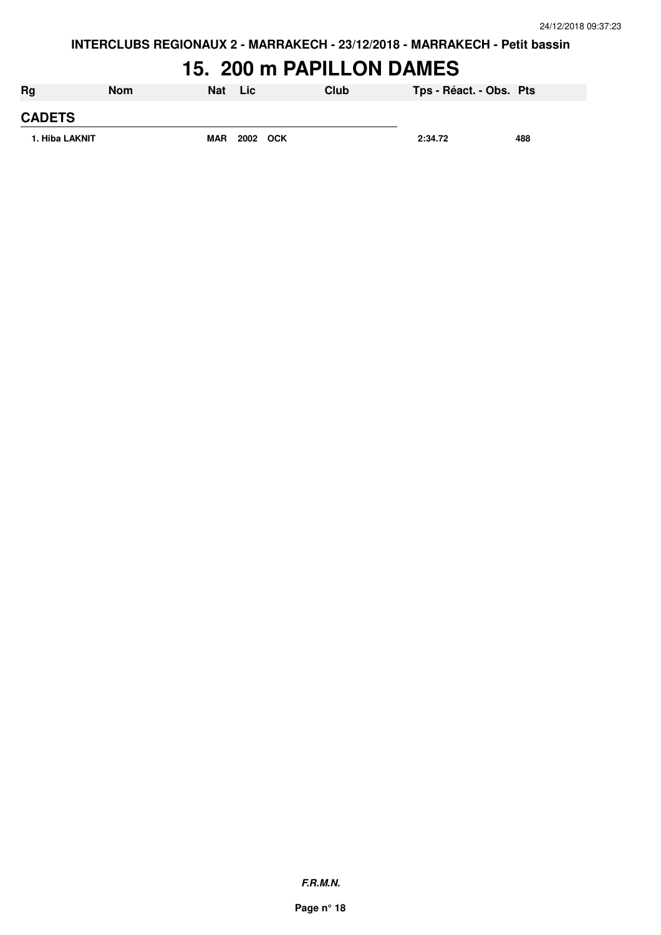### **15. 200 m PAPILLON DAMES**

| Rg             | <b>Nom</b> | <b>Nat</b> | Lic.     | Club | Tps - Réact. - Obs. Pts |     |
|----------------|------------|------------|----------|------|-------------------------|-----|
| <b>CADETS</b>  |            |            |          |      |                         |     |
| 1. Hiba LAKNIT |            | <b>MAR</b> | 2002 OCK |      | 2:34.72                 | 488 |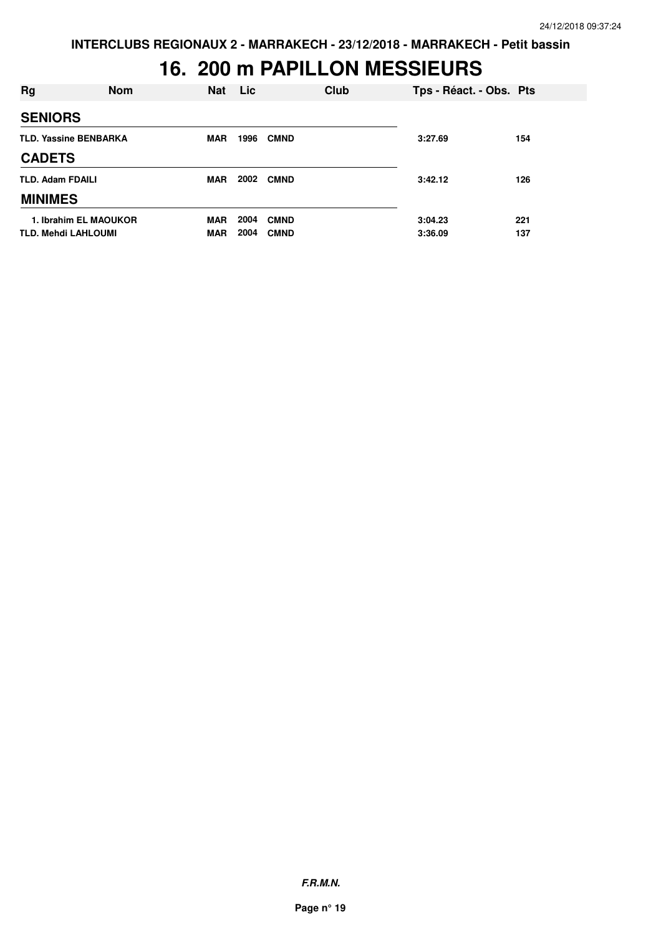#### **16. 200 m PAPILLON MESSIEURS**

| Rg                           | <b>Nom</b>            | <b>Nat</b> | Lic  | Club        | Tps - Réact. - Obs. Pts |     |
|------------------------------|-----------------------|------------|------|-------------|-------------------------|-----|
| <b>SENIORS</b>               |                       |            |      |             |                         |     |
| <b>TLD. Yassine BENBARKA</b> |                       | <b>MAR</b> | 1996 | <b>CMND</b> | 3:27.69                 | 154 |
| <b>CADETS</b>                |                       |            |      |             |                         |     |
| <b>TLD. Adam FDAILI</b>      |                       | <b>MAR</b> | 2002 | <b>CMND</b> | 3:42.12                 | 126 |
| <b>MINIMES</b>               |                       |            |      |             |                         |     |
|                              | 1. Ibrahim EL MAOUKOR | <b>MAR</b> | 2004 | <b>CMND</b> | 3:04.23                 | 221 |
| <b>TLD. Mehdi LAHLOUMI</b>   |                       | <b>MAR</b> | 2004 | <b>CMND</b> | 3:36.09                 | 137 |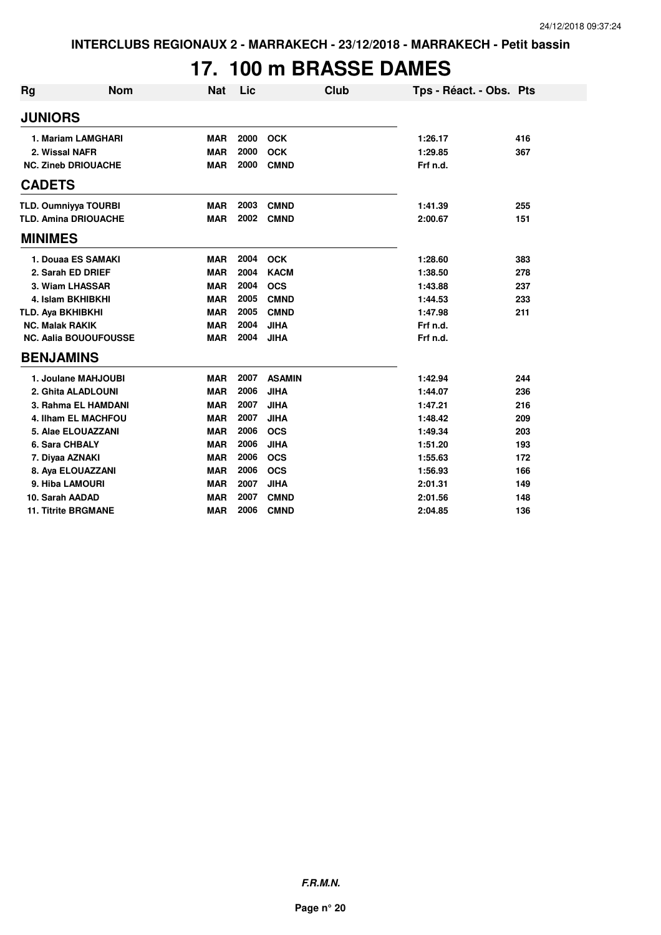# **17. 100 m BRASSE DAMES**

| <b>Rg</b>                    | <b>Nom</b>          | <b>Nat</b> | Lic  | <b>Club</b>   | Tps - Réact. - Obs. Pts |     |
|------------------------------|---------------------|------------|------|---------------|-------------------------|-----|
| <b>JUNIORS</b>               |                     |            |      |               |                         |     |
| 1. Mariam LAMGHARI           |                     | <b>MAR</b> | 2000 | <b>OCK</b>    | 1:26.17                 | 416 |
| 2. Wissal NAFR               |                     | <b>MAR</b> | 2000 | <b>OCK</b>    | 1:29.85                 | 367 |
| <b>NC. Zineb DRIOUACHE</b>   |                     | <b>MAR</b> | 2000 | <b>CMND</b>   | Frf n.d.                |     |
| <b>CADETS</b>                |                     |            |      |               |                         |     |
| <b>TLD. Oumniyya TOURBI</b>  |                     | <b>MAR</b> | 2003 | <b>CMND</b>   | 1:41.39                 | 255 |
| <b>TLD. Amina DRIOUACHE</b>  |                     | <b>MAR</b> | 2002 | <b>CMND</b>   | 2:00.67                 | 151 |
| <b>MINIMES</b>               |                     |            |      |               |                         |     |
| 1. Douaa ES SAMAKI           |                     | <b>MAR</b> | 2004 | <b>OCK</b>    | 1:28.60                 | 383 |
| 2. Sarah ED DRIEF            |                     | <b>MAR</b> | 2004 | <b>KACM</b>   | 1:38.50                 | 278 |
| 3. Wiam LHASSAR              |                     | <b>MAR</b> | 2004 | <b>OCS</b>    | 1:43.88                 | 237 |
| 4. Islam BKHIBKHI            |                     | <b>MAR</b> | 2005 | <b>CMND</b>   | 1:44.53                 | 233 |
| TLD. Aya BKHIBKHI            |                     | <b>MAR</b> | 2005 | <b>CMND</b>   | 1:47.98                 | 211 |
| <b>NC. Malak RAKIK</b>       |                     | <b>MAR</b> | 2004 | <b>JIHA</b>   | Frf n.d.                |     |
| <b>NC. Aalia BOUOUFOUSSE</b> |                     | <b>MAR</b> | 2004 | <b>JIHA</b>   | Frf n.d.                |     |
| <b>BENJAMINS</b>             |                     |            |      |               |                         |     |
| 1. Joulane MAHJOUBI          |                     | <b>MAR</b> | 2007 | <b>ASAMIN</b> | 1:42.94                 | 244 |
| 2. Ghita ALADLOUNI           |                     | <b>MAR</b> | 2006 | <b>JIHA</b>   | 1:44.07                 | 236 |
|                              | 3. Rahma EL HAMDANI | <b>MAR</b> | 2007 | <b>JIHA</b>   | 1:47.21                 | 216 |
| 4. Ilham EL MACHFOU          |                     | <b>MAR</b> | 2007 | <b>JIHA</b>   | 1:48.42                 | 209 |
| 5. Alae ELOUAZZANI           |                     | <b>MAR</b> | 2006 | <b>OCS</b>    | 1:49.34                 | 203 |
| 6. Sara CHBALY               |                     | <b>MAR</b> | 2006 | <b>JIHA</b>   | 1:51.20                 | 193 |
| 7. Diyaa AZNAKI              |                     | <b>MAR</b> | 2006 | <b>OCS</b>    | 1:55.63                 | 172 |
| 8. Aya ELOUAZZANI            |                     | <b>MAR</b> | 2006 | <b>OCS</b>    | 1:56.93                 | 166 |
| 9. Hiba LAMOURI              |                     | <b>MAR</b> | 2007 | <b>JIHA</b>   | 2:01.31                 | 149 |
| 10. Sarah AADAD              |                     | <b>MAR</b> | 2007 | <b>CMND</b>   | 2:01.56                 | 148 |
| <b>11. Titrite BRGMANE</b>   |                     | <b>MAR</b> | 2006 | <b>CMND</b>   | 2:04.85                 | 136 |